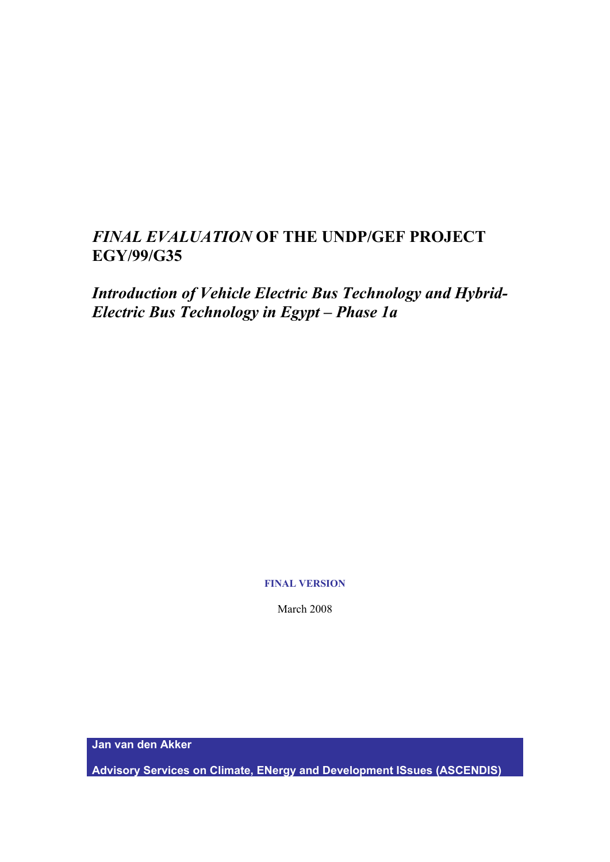# *FINAL EVALUATION* **OF THE UNDP/GEF PROJECT EGY/99/G35**

*Introduction of Vehicle Electric Bus Technology and Hybrid-Electric Bus Technology in Egypt – Phase 1a*

## **FINAL VERSION**

March 2008

**Jan van den Akker** 

**Advisory Services on Climate, ENergy and Development ISsues (ASCENDIS)**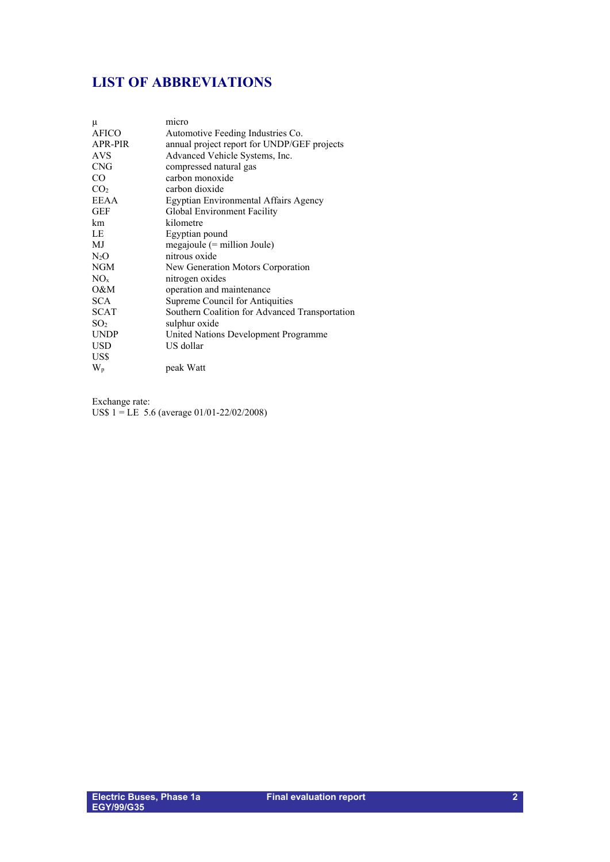# <span id="page-1-0"></span>**LIST OF ABBREVIATIONS**

| μ<br><b>AFICO</b><br>APR-PIR | micro<br>Automotive Feeding Industries Co.<br>annual project report for UNDP/GEF projects |
|------------------------------|-------------------------------------------------------------------------------------------|
| <b>AVS</b>                   | Advanced Vehicle Systems, Inc.                                                            |
| <b>CNG</b>                   | compressed natural gas                                                                    |
| CO.                          | carbon monoxide                                                                           |
| CO <sub>2</sub>              | carbon dioxide                                                                            |
| <b>EEAA</b>                  | Egyptian Environmental Affairs Agency                                                     |
| GEF                          | Global Environment Facility                                                               |
| km                           | kilometre                                                                                 |
| LE                           | Egyptian pound                                                                            |
| MJ.                          | $megajoule (= million Joule)$                                                             |
| $N_2O$                       | nitrous oxide                                                                             |
| NGM                          | New Generation Motors Corporation                                                         |
| NO <sub>x</sub>              | nitrogen oxides                                                                           |
| O&M                          | operation and maintenance                                                                 |
| <b>SCA</b>                   | Supreme Council for Antiquities                                                           |
| <b>SCAT</b>                  | Southern Coalition for Advanced Transportation                                            |
| SO <sub>2</sub>              | sulphur oxide                                                                             |
| <b>UNDP</b>                  | United Nations Development Programme                                                      |
| USD                          | US dollar                                                                                 |
| US\$                         |                                                                                           |
| $W_{p}$                      | peak Watt                                                                                 |

Exchange rate: US\$ 1 = LE 5.6 (average 01/01-22/02/2008)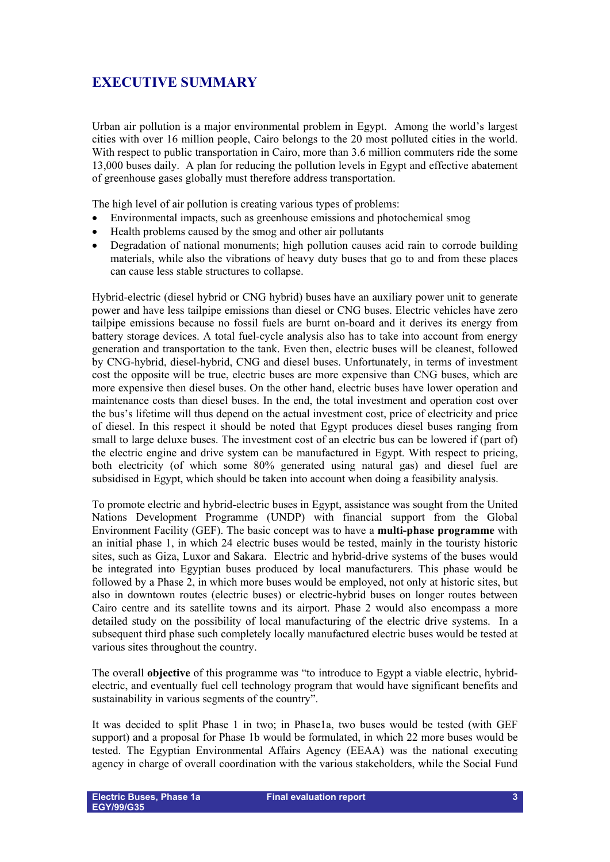# <span id="page-2-0"></span>**EXECUTIVE SUMMARY**

Urban air pollution is a major environmental problem in Egypt. Among the world's largest cities with over 16 million people, Cairo belongs to the 20 most polluted cities in the world. With respect to public transportation in Cairo, more than 3.6 million commuters ride the some 13,000 buses daily. A plan for reducing the pollution levels in Egypt and effective abatement of greenhouse gases globally must therefore address transportation.

The high level of air pollution is creating various types of problems:

- Environmental impacts, such as greenhouse emissions and photochemical smog
- Health problems caused by the smog and other air pollutants
- Degradation of national monuments; high pollution causes acid rain to corrode building materials, while also the vibrations of heavy duty buses that go to and from these places can cause less stable structures to collapse.

Hybrid-electric (diesel hybrid or CNG hybrid) buses have an auxiliary power unit to generate power and have less tailpipe emissions than diesel or CNG buses. Electric vehicles have zero tailpipe emissions because no fossil fuels are burnt on-board and it derives its energy from battery storage devices. A total fuel-cycle analysis also has to take into account from energy generation and transportation to the tank. Even then, electric buses will be cleanest, followed by CNG-hybrid, diesel-hybrid, CNG and diesel buses. Unfortunately, in terms of investment cost the opposite will be true, electric buses are more expensive than CNG buses, which are more expensive then diesel buses. On the other hand, electric buses have lower operation and maintenance costs than diesel buses. In the end, the total investment and operation cost over the bus's lifetime will thus depend on the actual investment cost, price of electricity and price of diesel. In this respect it should be noted that Egypt produces diesel buses ranging from small to large deluxe buses. The investment cost of an electric bus can be lowered if (part of) the electric engine and drive system can be manufactured in Egypt. With respect to pricing, both electricity (of which some 80% generated using natural gas) and diesel fuel are subsidised in Egypt, which should be taken into account when doing a feasibility analysis.

To promote electric and hybrid-electric buses in Egypt, assistance was sought from the United Nations Development Programme (UNDP) with financial support from the Global Environment Facility (GEF). The basic concept was to have a **multi-phase programme** with an initial phase 1, in which 24 electric buses would be tested, mainly in the touristy historic sites, such as Giza, Luxor and Sakara. Electric and hybrid-drive systems of the buses would be integrated into Egyptian buses produced by local manufacturers. This phase would be followed by a Phase 2, in which more buses would be employed, not only at historic sites, but also in downtown routes (electric buses) or electric-hybrid buses on longer routes between Cairo centre and its satellite towns and its airport. Phase 2 would also encompass a more detailed study on the possibility of local manufacturing of the electric drive systems. In a subsequent third phase such completely locally manufactured electric buses would be tested at various sites throughout the country.

The overall **objective** of this programme was "to introduce to Egypt a viable electric, hybridelectric, and eventually fuel cell technology program that would have significant benefits and sustainability in various segments of the country".

It was decided to split Phase 1 in two; in Phase1a, two buses would be tested (with GEF support) and a proposal for Phase 1b would be formulated, in which 22 more buses would be tested. The Egyptian Environmental Affairs Agency (EEAA) was the national executing agency in charge of overall coordination with the various stakeholders, while the Social Fund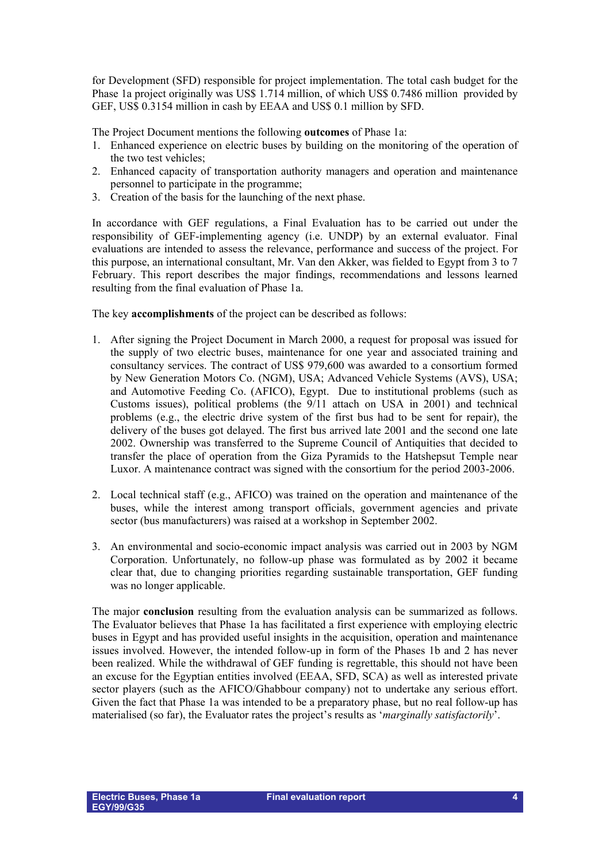for Development (SFD) responsible for project implementation. The total cash budget for the Phase 1a project originally was US\$ 1.714 million, of which US\$ 0.7486 million provided by GEF, US\$ 0.3154 million in cash by EEAA and US\$ 0.1 million by SFD.

The Project Document mentions the following **outcomes** of Phase 1a:

- 1. Enhanced experience on electric buses by building on the monitoring of the operation of the two test vehicles;
- 2. Enhanced capacity of transportation authority managers and operation and maintenance personnel to participate in the programme;
- 3. Creation of the basis for the launching of the next phase.

In accordance with GEF regulations, a Final Evaluation has to be carried out under the responsibility of GEF-implementing agency (i.e. UNDP) by an external evaluator. Final evaluations are intended to assess the relevance, performance and success of the project. For this purpose, an international consultant, Mr. Van den Akker, was fielded to Egypt from 3 to 7 February. This report describes the major findings, recommendations and lessons learned resulting from the final evaluation of Phase 1a.

The key **accomplishments** of the project can be described as follows:

- 1. After signing the Project Document in March 2000, a request for proposal was issued for the supply of two electric buses, maintenance for one year and associated training and consultancy services. The contract of US\$ 979,600 was awarded to a consortium formed by New Generation Motors Co. (NGM), USA; Advanced Vehicle Systems (AVS), USA; and Automotive Feeding Co. (AFICO), Egypt. Due to institutional problems (such as Customs issues), political problems (the 9/11 attach on USA in 2001) and technical problems (e.g., the electric drive system of the first bus had to be sent for repair), the delivery of the buses got delayed. The first bus arrived late 2001 and the second one late 2002. Ownership was transferred to the Supreme Council of Antiquities that decided to transfer the place of operation from the Giza Pyramids to the Hatshepsut Temple near Luxor. A maintenance contract was signed with the consortium for the period 2003-2006.
- 2. Local technical staff (e.g., AFICO) was trained on the operation and maintenance of the buses, while the interest among transport officials, government agencies and private sector (bus manufacturers) was raised at a workshop in September 2002.
- 3. An environmental and socio-economic impact analysis was carried out in 2003 by NGM Corporation. Unfortunately, no follow-up phase was formulated as by 2002 it became clear that, due to changing priorities regarding sustainable transportation, GEF funding was no longer applicable.

The major **conclusion** resulting from the evaluation analysis can be summarized as follows. The Evaluator believes that Phase 1a has facilitated a first experience with employing electric buses in Egypt and has provided useful insights in the acquisition, operation and maintenance issues involved. However, the intended follow-up in form of the Phases 1b and 2 has never been realized. While the withdrawal of GEF funding is regrettable, this should not have been an excuse for the Egyptian entities involved (EEAA, SFD, SCA) as well as interested private sector players (such as the AFICO/Ghabbour company) not to undertake any serious effort. Given the fact that Phase 1a was intended to be a preparatory phase, but no real follow-up has materialised (so far), the Evaluator rates the project's results as '*marginally satisfactorily*'.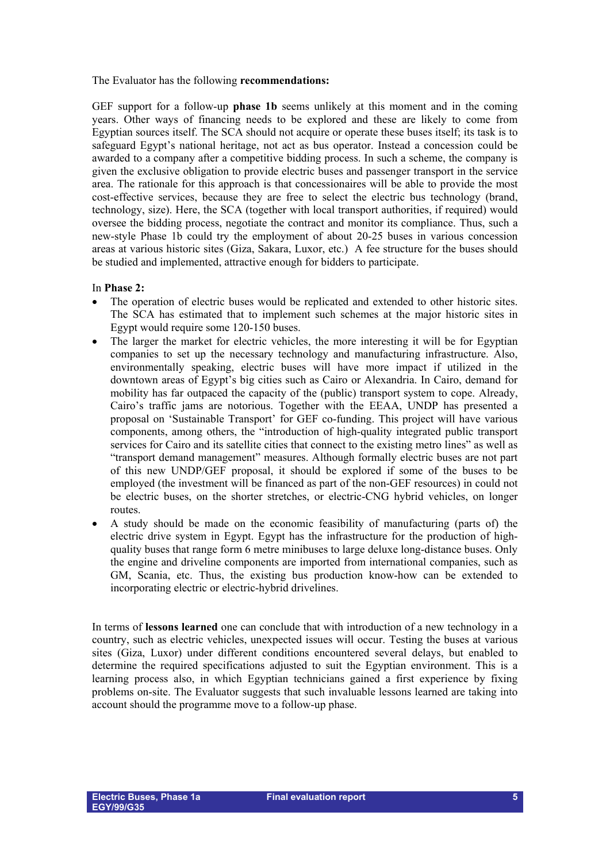The Evaluator has the following **recommendations:**

GEF support for a follow-up **phase 1b** seems unlikely at this moment and in the coming years. Other ways of financing needs to be explored and these are likely to come from Egyptian sources itself. The SCA should not acquire or operate these buses itself; its task is to safeguard Egypt's national heritage, not act as bus operator. Instead a concession could be awarded to a company after a competitive bidding process. In such a scheme, the company is given the exclusive obligation to provide electric buses and passenger transport in the service area. The rationale for this approach is that concessionaires will be able to provide the most cost-effective services, because they are free to select the electric bus technology (brand, technology, size). Here, the SCA (together with local transport authorities, if required) would oversee the bidding process, negotiate the contract and monitor its compliance. Thus, such a new-style Phase 1b could try the employment of about 20-25 buses in various concession areas at various historic sites (Giza, Sakara, Luxor, etc.) A fee structure for the buses should be studied and implemented, attractive enough for bidders to participate.

## In **Phase 2:**

- The operation of electric buses would be replicated and extended to other historic sites. The SCA has estimated that to implement such schemes at the major historic sites in Egypt would require some 120-150 buses.
- The larger the market for electric vehicles, the more interesting it will be for Egyptian companies to set up the necessary technology and manufacturing infrastructure. Also, environmentally speaking, electric buses will have more impact if utilized in the downtown areas of Egypt's big cities such as Cairo or Alexandria. In Cairo, demand for mobility has far outpaced the capacity of the (public) transport system to cope. Already, Cairo's traffic jams are notorious. Together with the EEAA, UNDP has presented a proposal on 'Sustainable Transport' for GEF co-funding. This project will have various components, among others, the "introduction of high-quality integrated public transport services for Cairo and its satellite cities that connect to the existing metro lines" as well as "transport demand management" measures. Although formally electric buses are not part of this new UNDP/GEF proposal, it should be explored if some of the buses to be employed (the investment will be financed as part of the non-GEF resources) in could not be electric buses, on the shorter stretches, or electric-CNG hybrid vehicles, on longer routes.
- A study should be made on the economic feasibility of manufacturing (parts of) the electric drive system in Egypt. Egypt has the infrastructure for the production of highquality buses that range form 6 metre minibuses to large deluxe long-distance buses. Only the engine and driveline components are imported from international companies, such as GM, Scania, etc. Thus, the existing bus production know-how can be extended to incorporating electric or electric-hybrid drivelines.

In terms of **lessons learned** one can conclude that with introduction of a new technology in a country, such as electric vehicles, unexpected issues will occur. Testing the buses at various sites (Giza, Luxor) under different conditions encountered several delays, but enabled to determine the required specifications adjusted to suit the Egyptian environment. This is a learning process also, in which Egyptian technicians gained a first experience by fixing problems on-site. The Evaluator suggests that such invaluable lessons learned are taking into account should the programme move to a follow-up phase.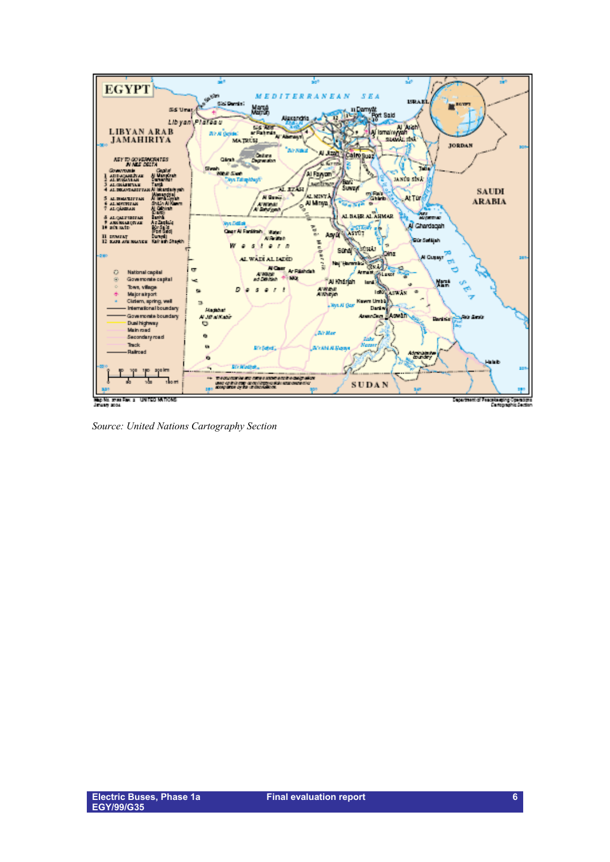

*Source: United Nations Cartography Section*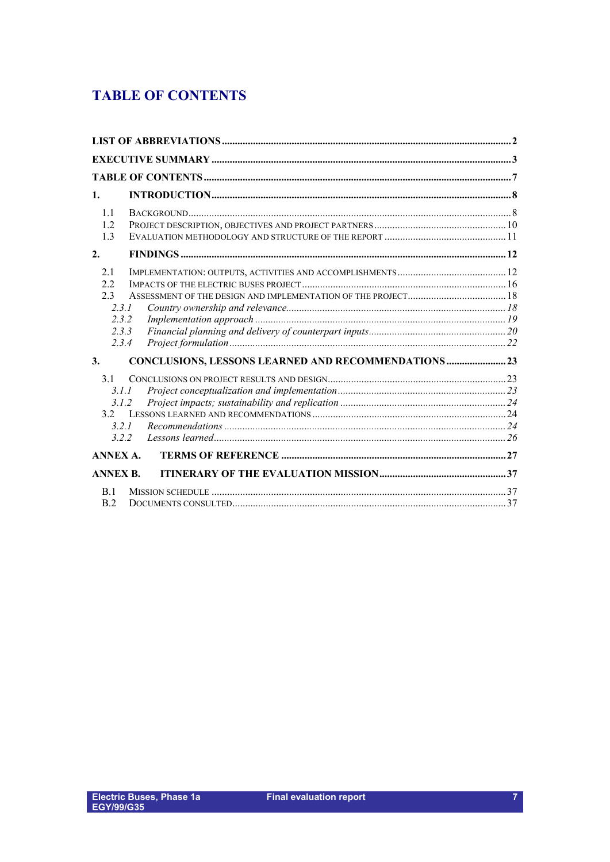# <span id="page-6-0"></span>**TABLE OF CONTENTS**

| $\mathbf{1}$ .  |                                                             |  |
|-----------------|-------------------------------------------------------------|--|
| 1.1             |                                                             |  |
| 1.2.            |                                                             |  |
| 1.3             |                                                             |  |
| 2.              |                                                             |  |
| 2.1             |                                                             |  |
| 2.2.            |                                                             |  |
| 2.3             |                                                             |  |
|                 | 2.3.1                                                       |  |
|                 | 2.3.2                                                       |  |
|                 | 2.3.3                                                       |  |
|                 | 2.3.4                                                       |  |
| 3.              | <b>CONCLUSIONS, LESSONS LEARNED AND RECOMMENDATIONS  23</b> |  |
| 3.1             |                                                             |  |
|                 | 3.1.1                                                       |  |
|                 | 3.1.2                                                       |  |
| 3.2             |                                                             |  |
|                 | 3.2.1                                                       |  |
|                 | 322                                                         |  |
| <b>ANNEX A.</b> |                                                             |  |
| <b>ANNEX B.</b> |                                                             |  |
| B.1             |                                                             |  |
| B.2             |                                                             |  |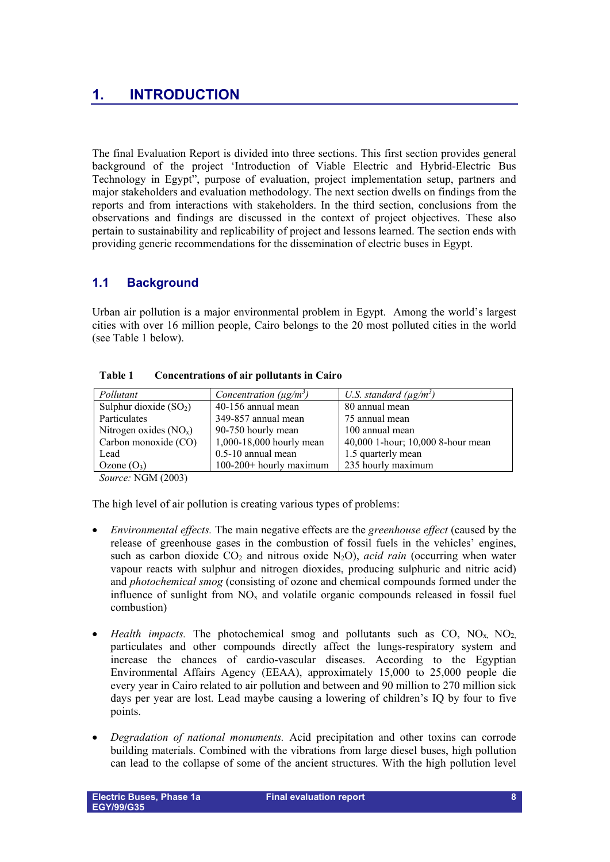# <span id="page-7-0"></span>**1. INTRODUCTION**

The final Evaluation Report is divided into three sections. This first section provides general background of the project 'Introduction of Viable Electric and Hybrid-Electric Bus Technology in Egypt", purpose of evaluation, project implementation setup, partners and major stakeholders and evaluation methodology. The next section dwells on findings from the reports and from interactions with stakeholders. In the third section, conclusions from the observations and findings are discussed in the context of project objectives. These also pertain to sustainability and replicability of project and lessons learned. The section ends with providing generic recommendations for the dissemination of electric buses in Egypt.

## <span id="page-7-1"></span>**1.1 Background**

Urban air pollution is a major environmental problem in Egypt. Among the world's largest cities with over 16 million people, Cairo belongs to the 20 most polluted cities in the world (see Table 1 below).

| Pollutant               | Concentration ( $\mu$ g/m <sup>3</sup> ) | U.S. standard ( $\mu$ g/m <sup>3</sup> ) |
|-------------------------|------------------------------------------|------------------------------------------|
| Sulphur dioxide $(SO2)$ | 40-156 annual mean                       | 80 annual mean                           |
| Particulates            | 349-857 annual mean                      | 75 annual mean                           |
| Nitrogen oxides $(NOx)$ | 90-750 hourly mean                       | 100 annual mean                          |
| Carbon monoxide (CO)    | 1,000-18,000 hourly mean                 | 40,000 1-hour; 10,000 8-hour mean        |
| Lead                    | $0.5 - 10$ annual mean                   | 1.5 quarterly mean                       |
| Ozone $(O_3)$           | $100-200+$ hourly maximum                | 235 hourly maximum                       |

**Table 1 Concentrations of air pollutants in Cairo**

*Source:* NGM (2003)

The high level of air pollution is creating various types of problems:

- *Environmental effects.* The main negative effects are the *greenhouse effect* (caused by the release of greenhouse gases in the combustion of fossil fuels in the vehicles' engines, such as carbon dioxide  $CO_2$  and nitrous oxide N<sub>2</sub>O), *acid rain* (occurring when water vapour reacts with sulphur and nitrogen dioxides, producing sulphuric and nitric acid) and *photochemical smog* (consisting of ozone and chemical compounds formed under the influence of sunlight from  $NO<sub>x</sub>$  and volatile organic compounds released in fossil fuel combustion)
- *Health impacts*. The photochemical smog and pollutants such as  $CO$ ,  $NO<sub>x</sub>$ ,  $NO<sub>2</sub>$ , particulates and other compounds directly affect the lungs-respiratory system and increase the chances of cardio-vascular diseases. According to the Egyptian Environmental Affairs Agency (EEAA), approximately 15,000 to 25,000 people die every year in Cairo related to air pollution and between and 90 million to 270 million sick days per year are lost. Lead maybe causing a lowering of children's IQ by four to five points.
- *Degradation of national monuments.* Acid precipitation and other toxins can corrode building materials. Combined with the vibrations from large diesel buses, high pollution can lead to the collapse of some of the ancient structures. With the high pollution level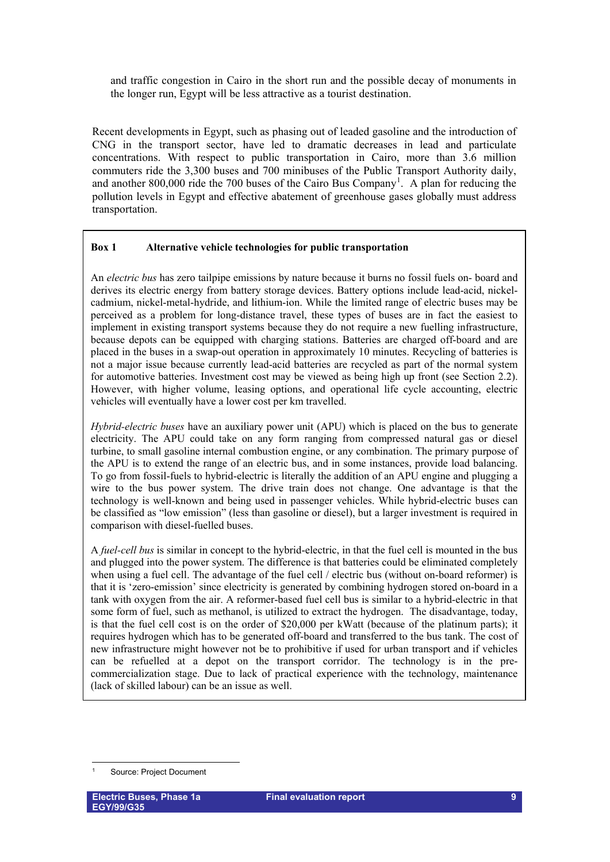and traffic congestion in Cairo in the short run and the possible decay of monuments in the longer run, Egypt will be less attractive as a tourist destination.

Recent developments in Egypt, such as phasing out of leaded gasoline and the introduction of CNG in the transport sector, have led to dramatic decreases in lead and particulate concentrations. With respect to public transportation in Cairo, more than 3.6 million commuters ride the 3,300 buses and 700 minibuses of the Public Transport Authority daily, and another 800,000 ride the 700 buses of the Cairo Bus Company<sup>[1](#page-8-0)</sup>. A plan for reducing the pollution levels in Egypt and effective abatement of greenhouse gases globally must address transportation.

## **Box 1 Alternative vehicle technologies for public transportation**

An *electric bus* has zero tailpipe emissions by nature because it burns no fossil fuels on- board and derives its electric energy from battery storage devices. Battery options include lead-acid, nickelcadmium, nickel-metal-hydride, and lithium-ion. While the limited range of electric buses may be perceived as a problem for long-distance travel, these types of buses are in fact the easiest to implement in existing transport systems because they do not require a new fuelling infrastructure, because depots can be equipped with charging stations. Batteries are charged off-board and are placed in the buses in a swap-out operation in approximately 10 minutes. Recycling of batteries is not a major issue because currently lead-acid batteries are recycled as part of the normal system for automotive batteries. Investment cost may be viewed as being high up front (see Section 2.2). However, with higher volume, leasing options, and operational life cycle accounting, electric vehicles will eventually have a lower cost per km travelled.

*Hybrid-electric buses* have an auxiliary power unit (APU) which is placed on the bus to generate electricity. The APU could take on any form ranging from compressed natural gas or diesel turbine, to small gasoline internal combustion engine, or any combination. The primary purpose of the APU is to extend the range of an electric bus, and in some instances, provide load balancing. To go from fossil-fuels to hybrid-electric is literally the addition of an APU engine and plugging a wire to the bus power system. The drive train does not change. One advantage is that the technology is well-known and being used in passenger vehicles. While hybrid-electric buses can be classified as "low emission" (less than gasoline or diesel), but a larger investment is required in comparison with diesel-fuelled buses.

A *fuel-cell bus* is similar in concept to the hybrid-electric, in that the fuel cell is mounted in the bus and plugged into the power system. The difference is that batteries could be eliminated completely when using a fuel cell. The advantage of the fuel cell / electric bus (without on-board reformer) is that it is 'zero-emission' since electricity is generated by combining hydrogen stored on-board in a tank with oxygen from the air. A reformer-based fuel cell bus is similar to a hybrid-electric in that some form of fuel, such as methanol, is utilized to extract the hydrogen. The disadvantage, today, is that the fuel cell cost is on the order of \$20,000 per kWatt (because of the platinum parts); it requires hydrogen which has to be generated off-board and transferred to the bus tank. The cost of new infrastructure might however not be to prohibitive if used for urban transport and if vehicles can be refuelled at a depot on the transport corridor. The technology is in the precommercialization stage. Due to lack of practical experience with the technology, maintenance (lack of skilled labour) can be an issue as well.

<span id="page-8-0"></span><sup>-</sup>1 Source: Project Document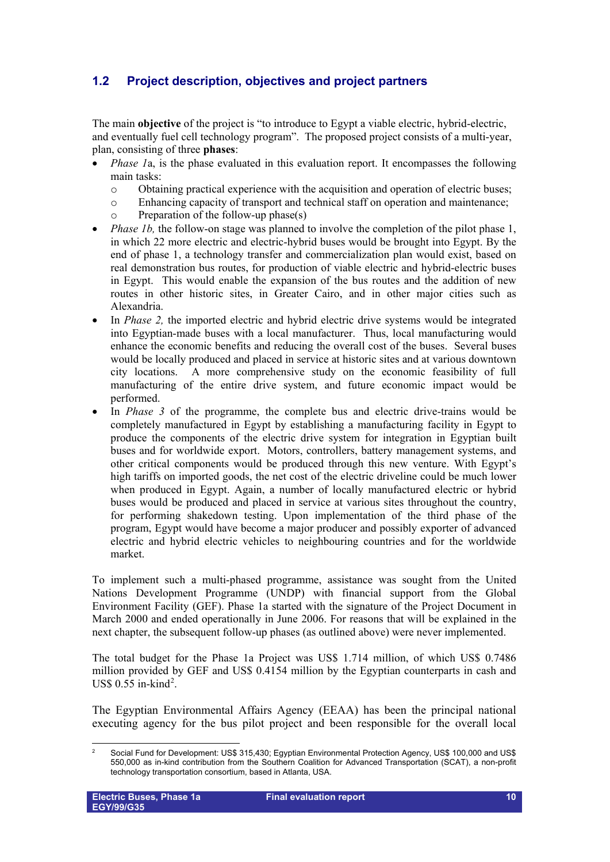## <span id="page-9-0"></span>**1.2 Project description, objectives and project partners**

The main **objective** of the project is "to introduce to Egypt a viable electric, hybrid-electric, and eventually fuel cell technology program". The proposed project consists of a multi-year, plan, consisting of three **phases**:

- *Phase 1a, is the phase evaluated in this evaluation report. It encompasses the following* main tasks:
	- o Obtaining practical experience with the acquisition and operation of electric buses;
	- Enhancing capacity of transport and technical staff on operation and maintenance;
	- o Preparation of the follow-up phase(s)
- *Phase 1b*, the follow-on stage was planned to involve the completion of the pilot phase 1, in which 22 more electric and electric-hybrid buses would be brought into Egypt. By the end of phase 1, a technology transfer and commercialization plan would exist, based on real demonstration bus routes, for production of viable electric and hybrid-electric buses in Egypt. This would enable the expansion of the bus routes and the addition of new routes in other historic sites, in Greater Cairo, and in other major cities such as Alexandria.
- In *Phase 2,* the imported electric and hybrid electric drive systems would be integrated into Egyptian-made buses with a local manufacturer. Thus, local manufacturing would enhance the economic benefits and reducing the overall cost of the buses. Several buses would be locally produced and placed in service at historic sites and at various downtown city locations. A more comprehensive study on the economic feasibility of full manufacturing of the entire drive system, and future economic impact would be performed.
- In *Phase 3* of the programme, the complete bus and electric drive-trains would be completely manufactured in Egypt by establishing a manufacturing facility in Egypt to produce the components of the electric drive system for integration in Egyptian built buses and for worldwide export. Motors, controllers, battery management systems, and other critical components would be produced through this new venture. With Egypt's high tariffs on imported goods, the net cost of the electric driveline could be much lower when produced in Egypt. Again, a number of locally manufactured electric or hybrid buses would be produced and placed in service at various sites throughout the country, for performing shakedown testing. Upon implementation of the third phase of the program, Egypt would have become a major producer and possibly exporter of advanced electric and hybrid electric vehicles to neighbouring countries and for the worldwide market.

To implement such a multi-phased programme, assistance was sought from the United Nations Development Programme (UNDP) with financial support from the Global Environment Facility (GEF). Phase 1a started with the signature of the Project Document in March 2000 and ended operationally in June 2006. For reasons that will be explained in the next chapter, the subsequent follow-up phases (as outlined above) were never implemented.

The total budget for the Phase 1a Project was US\$ 1.714 million, of which US\$ 0.7486 million provided by GEF and US\$ 0.4154 million by the Egyptian counterparts in cash and US\$  $0.55$  in-kind<sup>[2](#page-9-1)</sup>.

The Egyptian Environmental Affairs Agency (EEAA) has been the principal national executing agency for the bus pilot project and been responsible for the overall local

<span id="page-9-1"></span> $\frac{1}{2}$  Social Fund for Development: US\$ 315,430; Egyptian Environmental Protection Agency, US\$ 100,000 and US\$ 550,000 as in-kind contribution from the Southern Coalition for Advanced Transportation (SCAT), a non-profit technology transportation consortium, based in Atlanta, USA.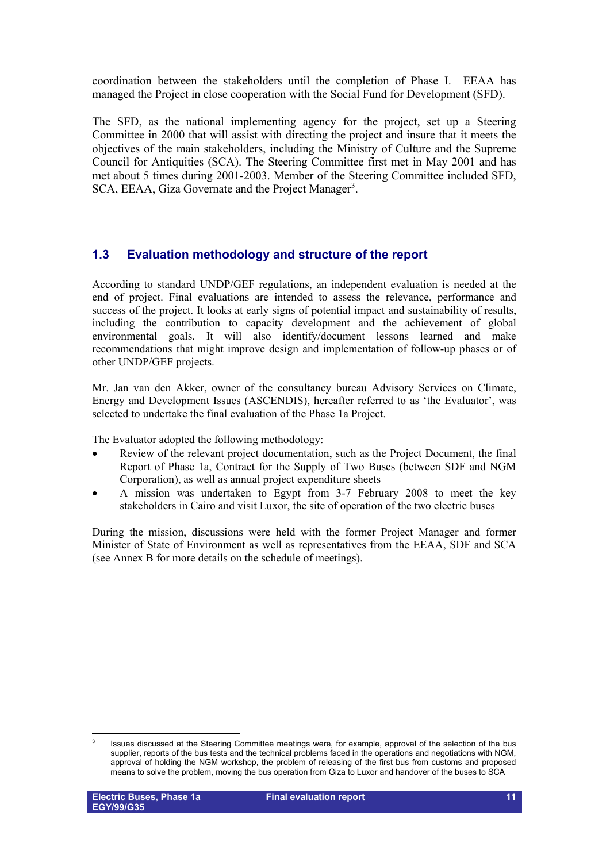coordination between the stakeholders until the completion of Phase I. EEAA has managed the Project in close cooperation with the Social Fund for Development (SFD).

The SFD, as the national implementing agency for the project, set up a Steering Committee in 2000 that will assist with directing the project and insure that it meets the objectives of the main stakeholders, including the Ministry of Culture and the Supreme Council for Antiquities (SCA). The Steering Committee first met in May 2001 and has met about 5 times during 2001-2003. Member of the Steering Committee included SFD, SCA, EEAA, Giza Governate and the Project Manager<sup>[3](#page-10-1)</sup>.

## <span id="page-10-0"></span>**1.3 Evaluation methodology and structure of the report**

According to standard UNDP/GEF regulations, an independent evaluation is needed at the end of project. Final evaluations are intended to assess the relevance, performance and success of the project. It looks at early signs of potential impact and sustainability of results, including the contribution to capacity development and the achievement of global environmental goals. It will also identify/document lessons learned and make recommendations that might improve design and implementation of follow-up phases or of other UNDP/GEF projects.

Mr. Jan van den Akker, owner of the consultancy bureau Advisory Services on Climate, Energy and Development Issues (ASCENDIS), hereafter referred to as 'the Evaluator', was selected to undertake the final evaluation of the Phase 1a Project.

The Evaluator adopted the following methodology:

- Review of the relevant project documentation, such as the Project Document, the final Report of Phase 1a, Contract for the Supply of Two Buses (between SDF and NGM Corporation), as well as annual project expenditure sheets
- A mission was undertaken to Egypt from 3-7 February 2008 to meet the key stakeholders in Cairo and visit Luxor, the site of operation of the two electric buses

During the mission, discussions were held with the former Project Manager and former Minister of State of Environment as well as representatives from the EEAA, SDF and SCA (see Annex B for more details on the schedule of meetings).

<span id="page-10-1"></span> $\frac{1}{3}$  Issues discussed at the Steering Committee meetings were, for example, approval of the selection of the bus supplier, reports of the bus tests and the technical problems faced in the operations and negotiations with NGM, approval of holding the NGM workshop, the problem of releasing of the first bus from customs and proposed means to solve the problem, moving the bus operation from Giza to Luxor and handover of the buses to SCA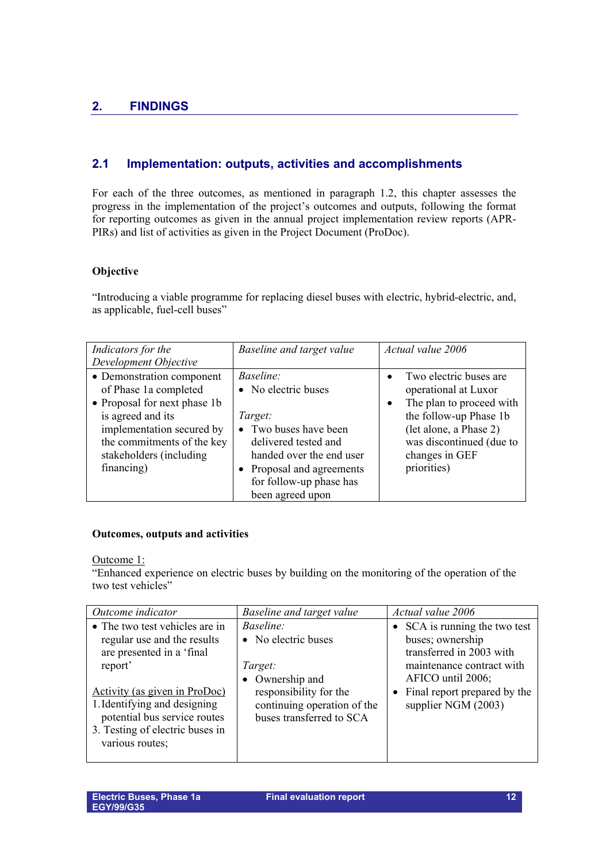## <span id="page-11-1"></span><span id="page-11-0"></span>**2.1 Implementation: outputs, activities and accomplishments**

For each of the three outcomes, as mentioned in paragraph 1.2, this chapter assesses the progress in the implementation of the project's outcomes and outputs, following the format for reporting outcomes as given in the annual project implementation review reports (APR-PIRs) and list of activities as given in the Project Document (ProDoc).

## **Objective**

"Introducing a viable programme for replacing diesel buses with electric, hybrid-electric, and, as applicable, fuel-cell buses"

| Indicators for the<br>Development Objective                                                                                                                                                                 | Baseline and target value                                                                                                                                                                                   | Actual value 2006                                                                                                                                                                                                     |
|-------------------------------------------------------------------------------------------------------------------------------------------------------------------------------------------------------------|-------------------------------------------------------------------------------------------------------------------------------------------------------------------------------------------------------------|-----------------------------------------------------------------------------------------------------------------------------------------------------------------------------------------------------------------------|
| • Demonstration component<br>of Phase 1a completed<br>• Proposal for next phase 1b<br>is agreed and its<br>implementation secured by<br>the commitments of the key<br>stakeholders (including<br>financing) | <i>Baseline:</i><br>• No electric buses<br>Target:<br>• Two buses have been<br>delivered tested and<br>handed over the end user<br>• Proposal and agreements<br>for follow-up phase has<br>been agreed upon | Two electric buses are<br>$\bullet$<br>operational at Luxor<br>The plan to proceed with<br>$\bullet$<br>the follow-up Phase 1b<br>(let alone, a Phase 2)<br>was discontinued (due to<br>changes in GEF<br>priorities) |

## **Outcomes, outputs and activities**

Outcome 1:

"Enhanced experience on electric buses by building on the monitoring of the operation of the two test vehicles"

| Outcome indicator               | Baseline and target value   | Actual value 2006              |
|---------------------------------|-----------------------------|--------------------------------|
| • The two test vehicles are in  | <i>Baseline:</i>            | • SCA is running the two test  |
| regular use and the results     | • No electric buses         | buses; ownership               |
| are presented in a 'final       |                             | transferred in 2003 with       |
| report'                         | Target:                     | maintenance contract with      |
|                                 | • Ownership and             | AFICO until 2006;              |
| Activity (as given in ProDoc)   | responsibility for the      | • Final report prepared by the |
| 1. Identifying and designing    | continuing operation of the | supplier NGM (2003)            |
| potential bus service routes    | buses transferred to SCA    |                                |
| 3. Testing of electric buses in |                             |                                |
| various routes;                 |                             |                                |
|                                 |                             |                                |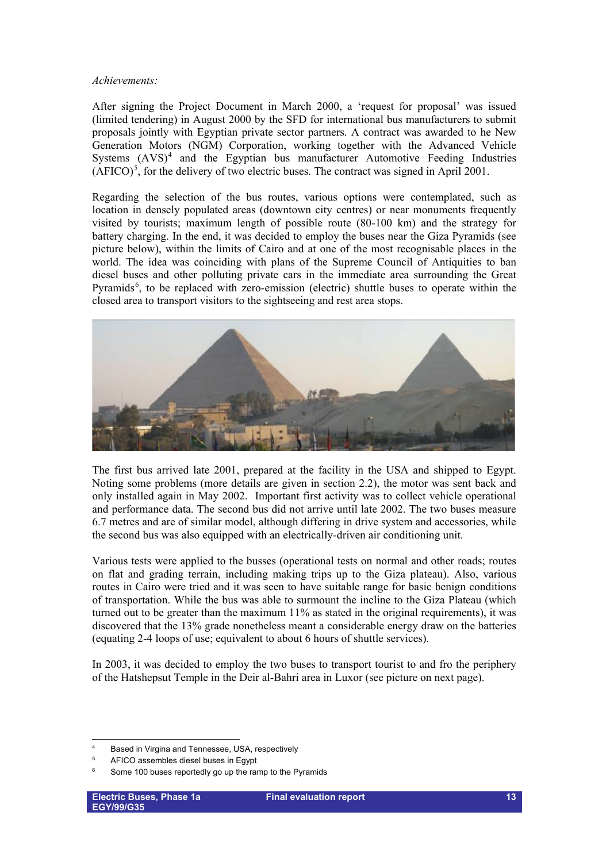#### *Achievements:*

After signing the Project Document in March 2000, a 'request for proposal' was issued (limited tendering) in August 2000 by the SFD for international bus manufacturers to submit proposals jointly with Egyptian private sector partners. A contract was awarded to he New Generation Motors (NGM) Corporation, working together with the Advanced Vehicle Systems  $(AVS)^4$  $(AVS)^4$  and the Egyptian bus manufacturer Automotive Feeding Industries  $(AFICO)^5$  $(AFICO)^5$ , for the delivery of two electric buses. The contract was signed in April 2001.

Regarding the selection of the bus routes, various options were contemplated, such as location in densely populated areas (downtown city centres) or near monuments frequently visited by tourists; maximum length of possible route (80-100 km) and the strategy for battery charging. In the end, it was decided to employ the buses near the Giza Pyramids (see picture below), within the limits of Cairo and at one of the most recognisable places in the world. The idea was coinciding with plans of the Supreme Council of Antiquities to ban diesel buses and other polluting private cars in the immediate area surrounding the Great Pyramids<sup>[6](#page-12-2)</sup>, to be replaced with zero-emission (electric) shuttle buses to operate within the closed area to transport visitors to the sightseeing and rest area stops.



The first bus arrived late 2001, prepared at the facility in the USA and shipped to Egypt. Noting some problems (more details are given in section 2.2), the motor was sent back and only installed again in May 2002. Important first activity was to collect vehicle operational and performance data. The second bus did not arrive until late 2002. The two buses measure 6.7 metres and are of similar model, although differing in drive system and accessories, while the second bus was also equipped with an electrically-driven air conditioning unit.

Various tests were applied to the busses (operational tests on normal and other roads; routes on flat and grading terrain, including making trips up to the Giza plateau). Also, various routes in Cairo were tried and it was seen to have suitable range for basic benign conditions of transportation. While the bus was able to surmount the incline to the Giza Plateau (which turned out to be greater than the maximum 11% as stated in the original requirements), it was discovered that the 13% grade nonetheless meant a considerable energy draw on the batteries (equating 2-4 loops of use; equivalent to about 6 hours of shuttle services).

In 2003, it was decided to employ the two buses to transport tourist to and fro the periphery of the Hatshepsut Temple in the Deir al-Bahri area in Luxor (see picture on next page).

<u>.</u>

<span id="page-12-0"></span><sup>4</sup> Based in Virgina and Tennessee, USA, respectively

<span id="page-12-1"></span><sup>5</sup> AFICO assembles diesel buses in Egypt

<span id="page-12-2"></span><sup>6</sup> Some 100 buses reportedly go up the ramp to the Pyramids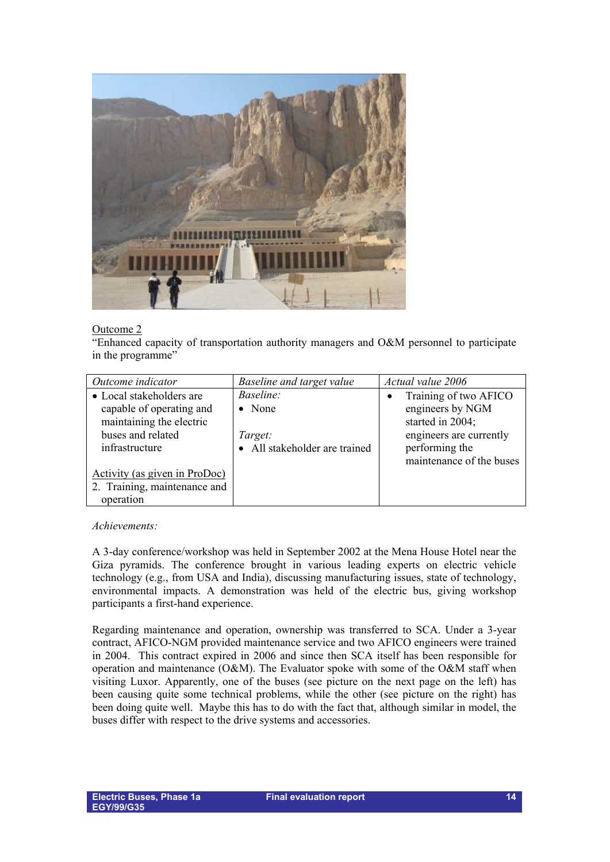

## Outcome 2

"Enhanced capacity of transportation authority managers and O&M personnel to participate in the programme"

| Outcome indicator             | Baseline and target value     | Actual value 2006        |
|-------------------------------|-------------------------------|--------------------------|
| • Local stakeholders are      | Baseline:                     | Training of two AFICO    |
| capable of operating and      | $\bullet$ None                | engineers by NGM         |
| maintaining the electric      |                               | started in 2004;         |
| buses and related             | Target:                       | engineers are currently  |
| infrastructure                | • All stakeholder are trained | performing the           |
|                               |                               | maintenance of the buses |
| Activity (as given in ProDoc) |                               |                          |
| 2. Training, maintenance and  |                               |                          |
| operation                     |                               |                          |

*Achievements:*

A 3-day conference/workshop was held in September 2002 at the Mena House Hotel near the Giza pyramids. The conference brought in various leading experts on electric vehicle technology (e.g., from USA and India), discussing manufacturing issues, state of technology, environmental impacts. A demonstration was held of the electric bus, giving workshop participants a first-hand experience.

Regarding maintenance and operation, ownership was transferred to SCA. Under a 3-year contract, AFICO-NGM provided maintenance service and two AFICO engineers were trained in 2004. This contract expired in 2006 and since then SCA itself has been responsible for operation and maintenance (O&M). The Evaluator spoke with some of the O&M staff when visiting Luxor. Apparently, one of the buses (see picture on the next page on the left) has been causing quite some technical problems, while the other (see picture on the right) has been doing quite well. Maybe this has to do with the fact that, although similar in model, the buses differ with respect to the drive systems and accessories.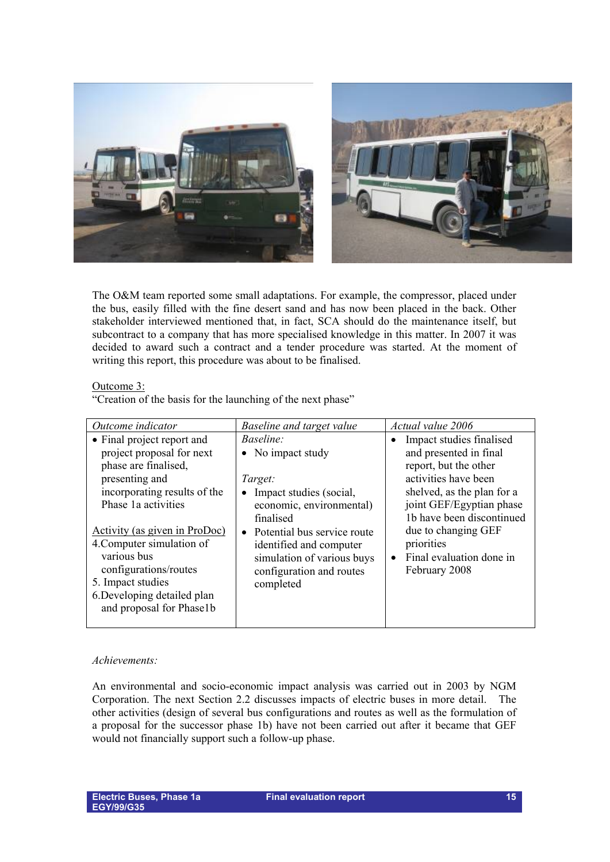

The O&M team reported some small adaptations. For example, the compressor, placed under the bus, easily filled with the fine desert sand and has now been placed in the back. Other stakeholder interviewed mentioned that, in fact, SCA should do the maintenance itself, but subcontract to a company that has more specialised knowledge in this matter. In 2007 it was decided to award such a contract and a tender procedure was started. At the moment of writing this report, this procedure was about to be finalised.

#### Outcome 3:

"Creation of the basis for the launching of the next phase"

| Outcome indicator             | Baseline and target value     | Actual value 2006          |
|-------------------------------|-------------------------------|----------------------------|
| • Final project report and    | Baseline:                     | Impact studies finalised   |
| project proposal for next     | • No impact study             | and presented in final     |
| phase are finalised,          |                               | report, but the other      |
| presenting and                | Target:                       | activities have been       |
| incorporating results of the  | Impact studies (social,       | shelved, as the plan for a |
| Phase 1a activities           | economic, environmental)      | joint GEF/Egyptian phase   |
|                               | finalised                     | 1b have been discontinued  |
| Activity (as given in ProDoc) | • Potential bus service route | due to changing GEF        |
| 4. Computer simulation of     | identified and computer       | priorities                 |
| various bus                   | simulation of various buys    | Final evaluation done in   |
| configurations/routes         | configuration and routes      | February 2008              |
| 5. Impact studies             | completed                     |                            |
| 6. Developing detailed plan   |                               |                            |
| and proposal for Phase1b      |                               |                            |
|                               |                               |                            |

## *Achievements:*

An environmental and socio-economic impact analysis was carried out in 2003 by NGM Corporation. The next Section 2.2 discusses impacts of electric buses in more detail. The other activities (design of several bus configurations and routes as well as the formulation of a proposal for the successor phase 1b) have not been carried out after it became that GEF would not financially support such a follow-up phase.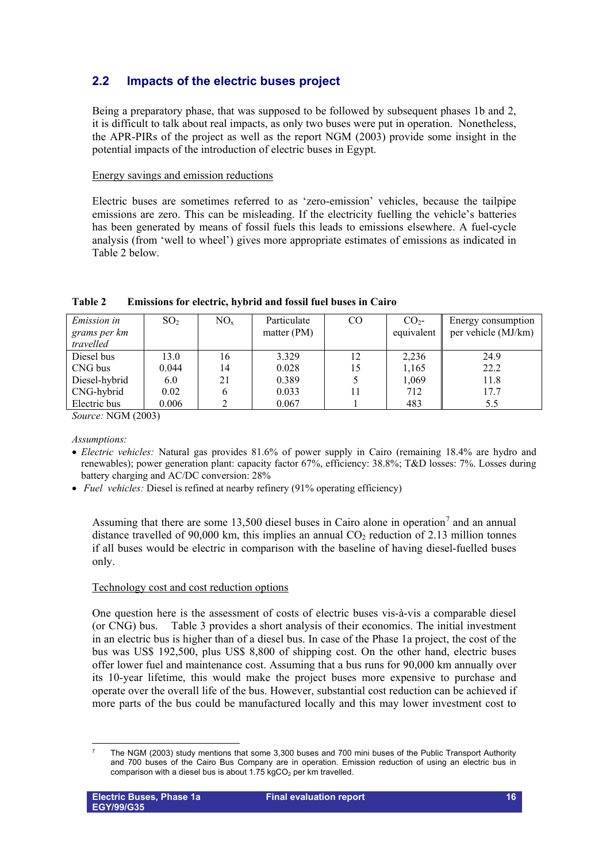## <span id="page-15-0"></span>**2.2 Impacts of the electric buses project**

Being a preparatory phase, that was supposed to be followed by subsequent phases 1b and 2, it is difficult to talk about real impacts, as only two buses were put in operation. Nonetheless, the APR-PIRs of the project as well as the report NGM (2003) provide some insight in the potential impacts of the introduction of electric buses in Egypt.

## Energy savings and emission reductions

Electric buses are sometimes referred to as 'zero-emission' vehicles, because the tailpipe emissions are zero. This can be misleading. If the electricity fuelling the vehicle's batteries has been generated by means of fossil fuels this leads to emissions elsewhere. A fuel-cycle analysis (from 'well to wheel') gives more appropriate estimates of emissions as indicated in Table 2 below.

| <i>Emission in</i><br>grams per km<br>travelled | SO <sub>2</sub> | $NO_{x}$ | Particulate<br>matter $(PM)$ | CO | CO <sub>2</sub><br>equivalent | Energy consumption<br>per vehicle (MJ/km) |
|-------------------------------------------------|-----------------|----------|------------------------------|----|-------------------------------|-------------------------------------------|
| Diesel bus                                      | 13.0            | 16       | 3.329                        | 12 | 2,236                         | 24.9                                      |
| CNG bus                                         | 0.044           | 14       | 0.028                        | 15 | 1,165                         | 22.2                                      |
| Diesel-hybrid                                   | 6.0             | 21       | 0.389                        |    | 1,069                         | 11.8                                      |
| CNG-hybrid                                      | 0.02            | 6        | 0.033                        |    | 712                           | 17.7                                      |
| Electric bus                                    | 0.006           |          | 0.067                        |    | 483                           | 5.5                                       |

## **Table 2 Emissions for electric, hybrid and fossil fuel buses in Cairo**

*Source:* NGM (2003)

## *Assumptions:*

- *Electric vehicles:* Natural gas provides 81.6% of power supply in Cairo (remaining 18.4% are hydro and renewables); power generation plant: capacity factor 67%, efficiency: 38.8%; T&D losses: 7%. Losses during battery charging and AC/DC conversion: 28%
- *Fuel vehicles:* Diesel is refined at nearby refinery (91% operating efficiency)

Assuming that there are some 13,500 diesel buses in Cairo alone in operation<sup>[7](#page-15-1)</sup> and an annual distance travelled of 90,000 km, this implies an annual  $CO<sub>2</sub>$  reduction of 2.13 million tonnes if all buses would be electric in comparison with the baseline of having diesel-fuelled buses only.

## Technology cost and cost reduction options

One question here is the assessment of costs of electric buses vis-à-vis a comparable diesel (or CNG) bus. Table 3 provides a short analysis of their economics. The initial investment in an electric bus is higher than of a diesel bus. In case of the Phase 1a project, the cost of the bus was US\$ 192,500, plus US\$ 8,800 of shipping cost. On the other hand, electric buses offer lower fuel and maintenance cost. Assuming that a bus runs for 90,000 km annually over its 10-year lifetime, this would make the project buses more expensive to purchase and operate over the overall life of the bus. However, substantial cost reduction can be achieved if more parts of the bus could be manufactured locally and this may lower investment cost to

<span id="page-15-1"></span><sup>-</sup>7 The NGM (2003) study mentions that some 3,300 buses and 700 mini buses of the Public Transport Authority and 700 buses of the Cairo Bus Company are in operation. Emission reduction of using an electric bus in comparison with a diesel bus is about 1.75  $kgCO<sub>2</sub>$  per km travelled.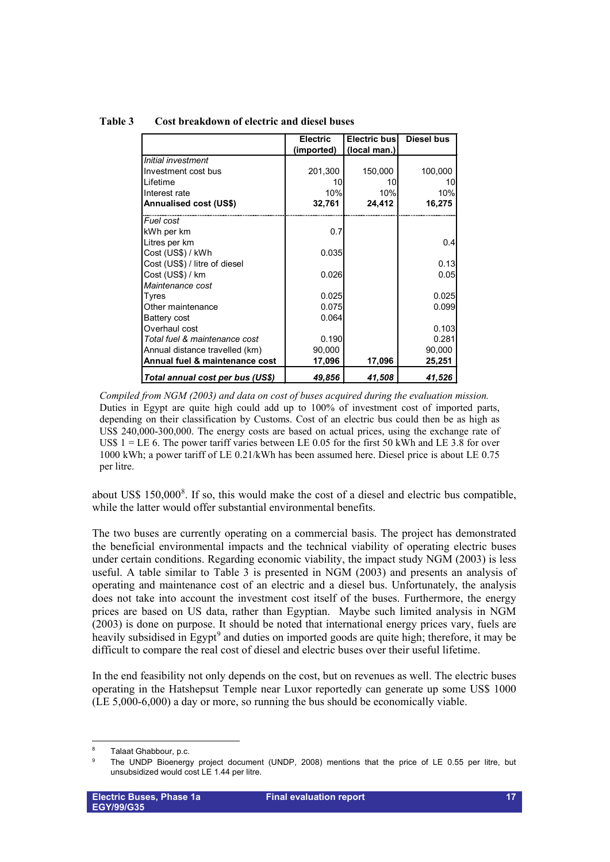|                                  | <b>Electric</b> | <b>Electric bus</b> | <b>Diesel bus</b> |
|----------------------------------|-----------------|---------------------|-------------------|
|                                  | (imported)      | (local man.)        |                   |
| Initial investment               |                 |                     |                   |
| Investment cost bus              | 201,300         | 150,000             | 100,000           |
| Lifetime                         | 10              | 10                  | 10                |
| Interest rate                    | 10%             | 10%                 | 10%               |
| <b>Annualised cost (US\$)</b>    | 32,761          | 24,412              | 16,275            |
| Fuel cost                        |                 |                     |                   |
| kWh per km                       | 0.7             |                     |                   |
| Litres per km                    |                 |                     | 0.4               |
| Cost (US\$) / kWh                | 0.035           |                     |                   |
| Cost (US\$) / litre of diesel    |                 |                     | 0.13              |
| Cost (US\$) / km                 | 0.026           |                     | 0.05              |
| Maintenance cost                 |                 |                     |                   |
| Tyres                            | 0.025           |                     | 0.025             |
| Other maintenance                | 0.075           |                     | 0.099             |
| Battery cost                     | 0.064           |                     |                   |
| Overhaul cost                    |                 |                     | 0.103             |
| Total fuel & maintenance cost    | 0.190           |                     | 0.281             |
| Annual distance travelled (km)   | 90,000          |                     | 90,000            |
| Annual fuel & maintenance cost   | 17,096          | 17,096              | 25,251            |
| Total annual cost per bus (US\$) | 49,856          | 41,508              | 41,526            |

### **Table 3 Cost breakdown of electric and diesel buses**

*Compiled from NGM (2003) and data on cost of buses acquired during the evaluation mission.* Duties in Egypt are quite high could add up to 100% of investment cost of imported parts, depending on their classification by Customs. Cost of an electric bus could then be as high as US\$ 240,000-300,000. The energy costs are based on actual prices, using the exchange rate of US\$  $1 =$  LE 6. The power tariff varies between LE 0.05 for the first 50 kWh and LE 3.8 for over 1000 kWh; a power tariff of LE 0.21/kWh has been assumed here. Diesel price is about LE 0.75 per litre.

about US\$  $150,000^8$  $150,000^8$ . If so, this would make the cost of a diesel and electric bus compatible, while the latter would offer substantial environmental benefits.

The two buses are currently operating on a commercial basis. The project has demonstrated the beneficial environmental impacts and the technical viability of operating electric buses under certain conditions. Regarding economic viability, the impact study NGM (2003) is less useful. A table similar to Table 3 is presented in NGM (2003) and presents an analysis of operating and maintenance cost of an electric and a diesel bus. Unfortunately, the analysis does not take into account the investment cost itself of the buses. Furthermore, the energy prices are based on US data, rather than Egyptian. Maybe such limited analysis in NGM (2003) is done on purpose. It should be noted that international energy prices vary, fuels are heavily subsidised in  $\text{Egypt}^9$  $\text{Egypt}^9$  and duties on imported goods are quite high; therefore, it may be difficult to compare the real cost of diesel and electric buses over their useful lifetime.

In the end feasibility not only depends on the cost, but on revenues as well. The electric buses operating in the Hatshepsut Temple near Luxor reportedly can generate up some US\$ 1000 (LE 5,000-6,000) a day or more, so running the bus should be economically viable.

<u>.</u>

<span id="page-16-0"></span><sup>8</sup> Talaat Ghabbour, p.c.

<span id="page-16-1"></span> $\alpha$  The UNDP Bioenergy project document (UNDP, 2008) mentions that the price of LE 0.55 per litre, but unsubsidized would cost LE 1.44 per litre.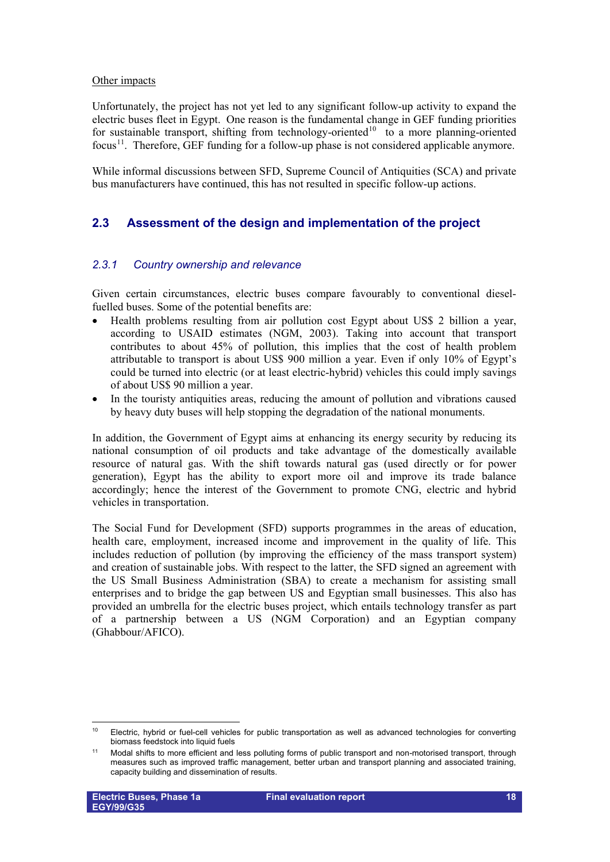#### Other impacts

Unfortunately, the project has not yet led to any significant follow-up activity to expand the electric buses fleet in Egypt. One reason is the fundamental change in GEF funding priorities for sustainable transport, shifting from technology-oriented<sup>[10](#page-17-2)</sup> to a more planning-oriented focus<sup>[11](#page-17-3)</sup>. Therefore, GEF funding for a follow-up phase is not considered applicable anymore.

While informal discussions between SFD, Supreme Council of Antiquities (SCA) and private bus manufacturers have continued, this has not resulted in specific follow-up actions.

## <span id="page-17-0"></span>**2.3 Assessment of the design and implementation of the project**

## <span id="page-17-1"></span>*2.3.1 Country ownership and relevance*

Given certain circumstances, electric buses compare favourably to conventional dieselfuelled buses. Some of the potential benefits are:

- Health problems resulting from air pollution cost Egypt about US\$ 2 billion a year, according to USAID estimates (NGM, 2003). Taking into account that transport contributes to about 45% of pollution, this implies that the cost of health problem attributable to transport is about US\$ 900 million a year. Even if only 10% of Egypt's could be turned into electric (or at least electric-hybrid) vehicles this could imply savings of about US\$ 90 million a year.
- In the touristy antiquities areas, reducing the amount of pollution and vibrations caused by heavy duty buses will help stopping the degradation of the national monuments.

In addition, the Government of Egypt aims at enhancing its energy security by reducing its national consumption of oil products and take advantage of the domestically available resource of natural gas. With the shift towards natural gas (used directly or for power generation), Egypt has the ability to export more oil and improve its trade balance accordingly; hence the interest of the Government to promote CNG, electric and hybrid vehicles in transportation.

The Social Fund for Development (SFD) supports programmes in the areas of education, health care, employment, increased income and improvement in the quality of life. This includes reduction of pollution (by improving the efficiency of the mass transport system) and creation of sustainable jobs. With respect to the latter, the SFD signed an agreement with the US Small Business Administration (SBA) to create a mechanism for assisting small enterprises and to bridge the gap between US and Egyptian small businesses. This also has provided an umbrella for the electric buses project, which entails technology transfer as part of a partnership between a US (NGM Corporation) and an Egyptian company (Ghabbour/AFICO).

<span id="page-17-2"></span> $10<sup>10</sup>$ 10 Electric, hybrid or fuel-cell vehicles for public transportation as well as advanced technologies for converting biomass feedstock into liquid fuels

<span id="page-17-3"></span><sup>&</sup>lt;sup>11</sup> Modal shifts to more efficient and less polluting forms of public transport and non-motorised transport, through measures such as improved traffic management, better urban and transport planning and associated training, capacity building and dissemination of results.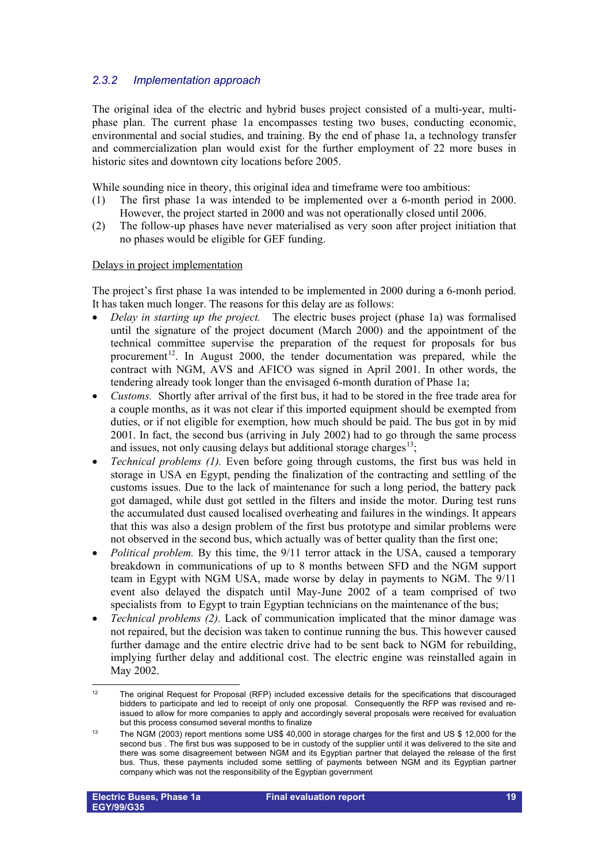## <span id="page-18-0"></span>*2.3.2 Implementation approach*

The original idea of the electric and hybrid buses project consisted of a multi-year, multiphase plan. The current phase 1a encompasses testing two buses, conducting economic, environmental and social studies, and training. By the end of phase 1a, a technology transfer and commercialization plan would exist for the further employment of 22 more buses in historic sites and downtown city locations before 2005.

While sounding nice in theory, this original idea and timeframe were too ambitious:

- (1) The first phase 1a was intended to be implemented over a 6-month period in 2000. However, the project started in 2000 and was not operationally closed until 2006.
- (2) The follow-up phases have never materialised as very soon after project initiation that no phases would be eligible for GEF funding.

#### Delays in project implementation

The project's first phase 1a was intended to be implemented in 2000 during a 6-monh period. It has taken much longer. The reasons for this delay are as follows:

- *Delay in starting up the project.* The electric buses project (phase 1a) was formalised until the signature of the project document (March 2000) and the appointment of the technical committee supervise the preparation of the request for proposals for bus procurement<sup>[12](#page-18-1)</sup>. In August 2000, the tender documentation was prepared, while the contract with NGM, AVS and AFICO was signed in April 2001. In other words, the tendering already took longer than the envisaged 6-month duration of Phase 1a;
- *Customs.* Shortly after arrival of the first bus, it had to be stored in the free trade area for a couple months, as it was not clear if this imported equipment should be exempted from duties, or if not eligible for exemption, how much should be paid. The bus got in by mid 2001. In fact, the second bus (arriving in July 2002) had to go through the same process and issues, not only causing delays but additional storage charges<sup>13</sup>;
- *Technical problems (1).* Even before going through customs, the first bus was held in storage in USA en Egypt, pending the finalization of the contracting and settling of the customs issues. Due to the lack of maintenance for such a long period, the battery pack got damaged, while dust got settled in the filters and inside the motor. During test runs the accumulated dust caused localised overheating and failures in the windings. It appears that this was also a design problem of the first bus prototype and similar problems were not observed in the second bus, which actually was of better quality than the first one;
- *Political problem.* By this time, the 9/11 terror attack in the USA, caused a temporary breakdown in communications of up to 8 months between SFD and the NGM support team in Egypt with NGM USA, made worse by delay in payments to NGM. The 9/11 event also delayed the dispatch until May-June 2002 of a team comprised of two specialists from to Egypt to train Egyptian technicians on the maintenance of the bus;
- *Technical problems (2).* Lack of communication implicated that the minor damage was not repaired, but the decision was taken to continue running the bus. This however caused further damage and the entire electric drive had to be sent back to NGM for rebuilding, implying further delay and additional cost. The electric engine was reinstalled again in May 2002.

<span id="page-18-1"></span> $12$ 12 The original Request for Proposal (RFP) included excessive details for the specifications that discouraged bidders to participate and led to receipt of only one proposal. Consequently the RFP was revised and reissued to allow for more companies to apply and accordingly several proposals were received for evaluation but this process consumed several months to finalize

<span id="page-18-2"></span><sup>&</sup>lt;sup>13</sup> The NGM (2003) report mentions some US\$ 40,000 in storage charges for the first and US \$ 12,000 for the second bus . The first bus was supposed to be in custody of the supplier until it was delivered to the site and there was some disagreement between NGM and its Egyptian partner that delayed the release of the first bus. Thus, these payments included some settling of payments between NGM and its Egyptian partner company which was not the responsibility of the Egyptian government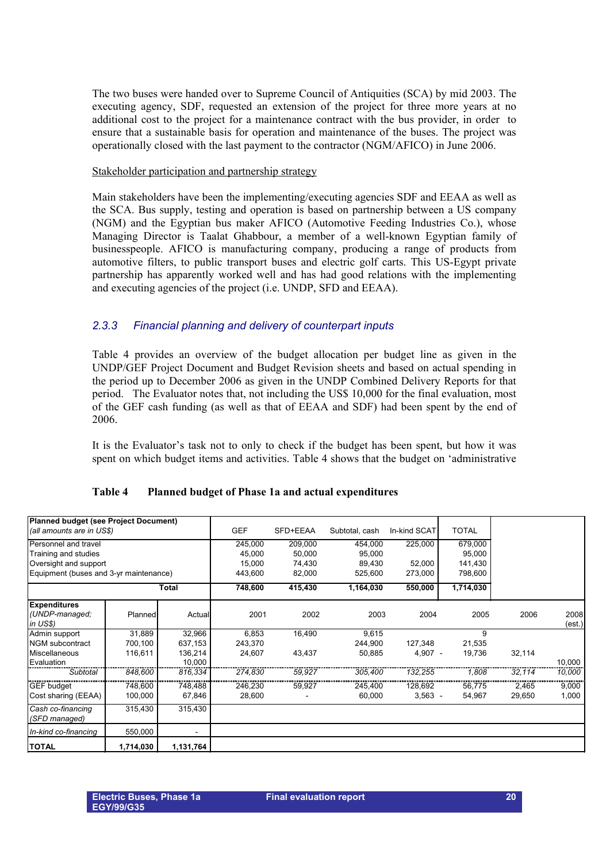The two buses were handed over to Supreme Council of Antiquities (SCA) by mid 2003. The executing agency, SDF, requested an extension of the project for three more years at no additional cost to the project for a maintenance contract with the bus provider, in order to ensure that a sustainable basis for operation and maintenance of the buses. The project was operationally closed with the last payment to the contractor (NGM/AFICO) in June 2006.

#### Stakeholder participation and partnership strategy

Main stakeholders have been the implementing/executing agencies SDF and EEAA as well as the SCA. Bus supply, testing and operation is based on partnership between a US company (NGM) and the Egyptian bus maker AFICO (Automotive Feeding Industries Co.), whose Managing Director is Taalat Ghabbour, a member of a well-known Egyptian family of businesspeople. AFICO is manufacturing company, producing a range of products from automotive filters, to public transport buses and electric golf carts. This US-Egypt private partnership has apparently worked well and has had good relations with the implementing and executing agencies of the project (i.e. UNDP, SFD and EEAA).

## <span id="page-19-0"></span>*2.3.3 Financial planning and delivery of counterpart inputs*

Table 4 provides an overview of the budget allocation per budget line as given in the UNDP/GEF Project Document and Budget Revision sheets and based on actual spending in the period up to December 2006 as given in the UNDP Combined Delivery Reports for that period. The Evaluator notes that, not including the US\$ 10,000 for the final evaluation, most of the GEF cash funding (as well as that of EEAA and SDF) had been spent by the end of 2006.

It is the Evaluator's task not to only to check if the budget has been spent, but how it was spent on which budget items and activities. Table 4 shows that the budget on 'administrative

| Planned budget (see Project Document)  |                |              |            |          |                |              |              |        |                |
|----------------------------------------|----------------|--------------|------------|----------|----------------|--------------|--------------|--------|----------------|
| (all amounts are in US\$)              |                |              | <b>GEF</b> | SFD+EEAA | Subtotal, cash | In-kind SCAT | <b>TOTAL</b> |        |                |
| Personnel and travel                   |                |              | 245,000    | 209,000  | 454,000        | 225,000      | 679,000      |        |                |
| Training and studies                   |                |              | 45,000     | 50,000   | 95,000         |              | 95,000       |        |                |
| Oversight and support                  |                |              | 15,000     | 74,430   | 89,430         | 52,000       | 141,430      |        |                |
| Equipment (buses and 3-yr maintenance) |                |              | 443,600    | 82,000   | 525,600        | 273,000      | 798,600      |        |                |
|                                        |                | <b>Total</b> | 748,600    | 415,430  | 1,164,030      | 550,000      | 1,714,030    |        |                |
| <b>Expenditures</b>                    |                |              |            |          |                |              |              |        |                |
| (UNDP-managed;<br>in US\$              | <b>Planned</b> | Actual       | 2001       | 2002     | 2003           | 2004         | 2005         | 2006   | 2008<br>(est.) |
| Admin support                          | 31,889         | 32,966       | 6,853      | 16,490   | 9,615          |              | 9            |        |                |
| <b>INGM</b> subcontract                | 700,100        | 637,153      | 243,370    |          | 244,900        | 127,348      | 21,535       |        |                |
| Miscellaneous                          | 116,611        | 136,214      | 24,607     | 43,437   | 50,885         | $4,907 -$    | 19,736       | 32,114 |                |
| Evaluation                             |                | 10,000       |            |          |                |              |              |        | 10,000         |
| Subtotal                               | 848,600        | 816,334      | 274,830    | 59,927   | 305,400        | 132,255      | 1,808        | 32,114 | 10,000         |
| <b>GEF</b> budget                      | 748,600        | 748,488      | 246,230    | 59,927   | 245,400        | 128,692      | 56,775       | 2,465  | 9,000          |
| Cost sharing (EEAA)                    | 100,000        | 67,846       | 28,600     |          | 60,000         | $3,563 -$    | 54,967       | 29,650 | 1,000          |
| Cash co-financing<br>(SFD managed)     | 315,430        | 315,430      |            |          |                |              |              |        |                |
| In-kind co-financing                   | 550,000        |              |            |          |                |              |              |        |                |
| <b>TOTAL</b>                           | 1,714,030      | 1,131,764    |            |          |                |              |              |        |                |

#### **Table 4 Planned budget of Phase 1a and actual expenditures**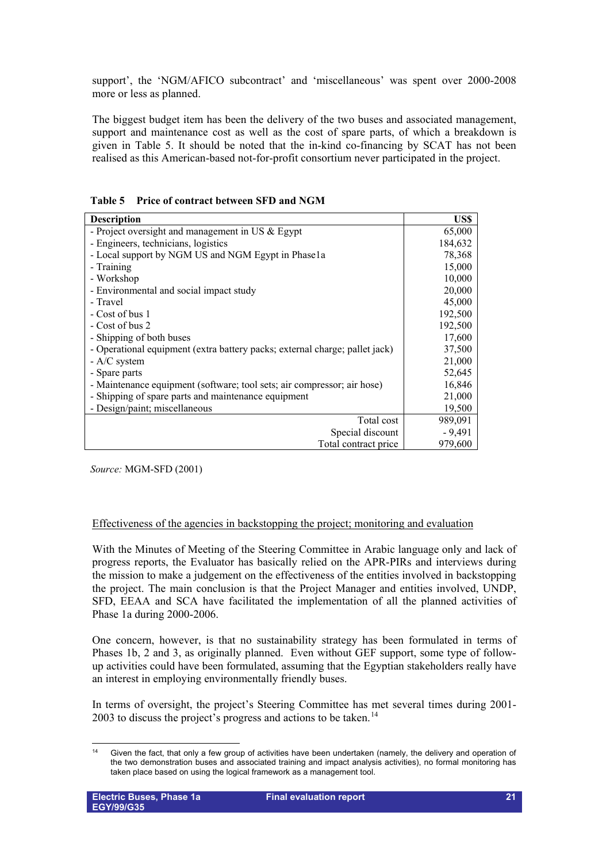support', the 'NGM/AFICO subcontract' and 'miscellaneous' was spent over 2000-2008 more or less as planned.

The biggest budget item has been the delivery of the two buses and associated management, support and maintenance cost as well as the cost of spare parts, of which a breakdown is given in Table 5. It should be noted that the in-kind co-financing by SCAT has not been realised as this American-based not-for-profit consortium never participated in the project.

| <b>Description</b>                                                          | US\$     |
|-----------------------------------------------------------------------------|----------|
| - Project oversight and management in US & Egypt                            | 65,000   |
| - Engineers, technicians, logistics                                         | 184,632  |
| - Local support by NGM US and NGM Egypt in Phase1a                          | 78,368   |
| - Training                                                                  | 15,000   |
| - Workshop                                                                  | 10,000   |
| - Environmental and social impact study                                     | 20,000   |
| - Travel                                                                    | 45,000   |
| - Cost of bus 1                                                             | 192,500  |
| - Cost of bus 2                                                             | 192,500  |
| - Shipping of both buses                                                    | 17,600   |
| - Operational equipment (extra battery packs; external charge; pallet jack) | 37,500   |
| - A/C system                                                                | 21,000   |
| - Spare parts                                                               | 52,645   |
| - Maintenance equipment (software; tool sets; air compressor; air hose)     | 16,846   |
| - Shipping of spare parts and maintenance equipment                         | 21,000   |
| - Design/paint; miscellaneous                                               | 19,500   |
| Total cost                                                                  | 989,091  |
| Special discount                                                            | $-9,491$ |
| Total contract price                                                        | 979,600  |

**Table 5 Price of contract between SFD and NGM**

*Source:* MGM-SFD (2001)

## Effectiveness of the agencies in backstopping the project; monitoring and evaluation

With the Minutes of Meeting of the Steering Committee in Arabic language only and lack of progress reports, the Evaluator has basically relied on the APR-PIRs and interviews during the mission to make a judgement on the effectiveness of the entities involved in backstopping the project. The main conclusion is that the Project Manager and entities involved, UNDP, SFD, EEAA and SCA have facilitated the implementation of all the planned activities of Phase 1a during 2000-2006.

One concern, however, is that no sustainability strategy has been formulated in terms of Phases 1b, 2 and 3, as originally planned. Even without GEF support, some type of followup activities could have been formulated, assuming that the Egyptian stakeholders really have an interest in employing environmentally friendly buses.

In terms of oversight, the project's Steering Committee has met several times during 2001- 2003 to discuss the project's progress and actions to be taken.<sup>[14](#page-20-0)</sup>

<span id="page-20-0"></span> $14$ Given the fact, that only a few group of activities have been undertaken (namely, the delivery and operation of the two demonstration buses and associated training and impact analysis activities), no formal monitoring has taken place based on using the logical framework as a management tool.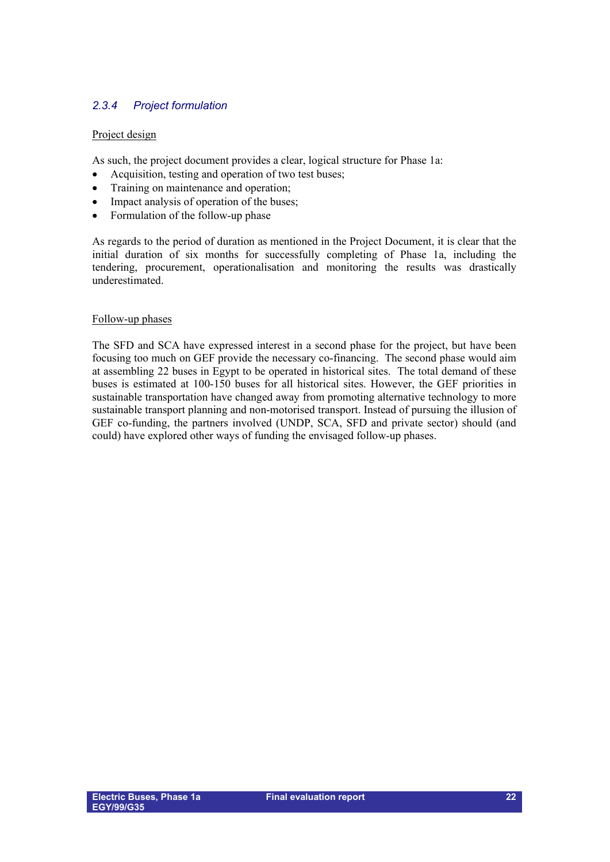## <span id="page-21-0"></span>*2.3.4 Project formulation*

## Project design

As such, the project document provides a clear, logical structure for Phase 1a:

- Acquisition, testing and operation of two test buses;
- Training on maintenance and operation;
- Impact analysis of operation of the buses;
- Formulation of the follow-up phase

As regards to the period of duration as mentioned in the Project Document, it is clear that the initial duration of six months for successfully completing of Phase 1a, including the tendering, procurement, operationalisation and monitoring the results was drastically underestimated.

#### Follow-up phases

The SFD and SCA have expressed interest in a second phase for the project, but have been focusing too much on GEF provide the necessary co-financing. The second phase would aim at assembling 22 buses in Egypt to be operated in historical sites. The total demand of these buses is estimated at 100-150 buses for all historical sites. However, the GEF priorities in sustainable transportation have changed away from promoting alternative technology to more sustainable transport planning and non-motorised transport. Instead of pursuing the illusion of GEF co-funding, the partners involved (UNDP, SCA, SFD and private sector) should (and could) have explored other ways of funding the envisaged follow-up phases.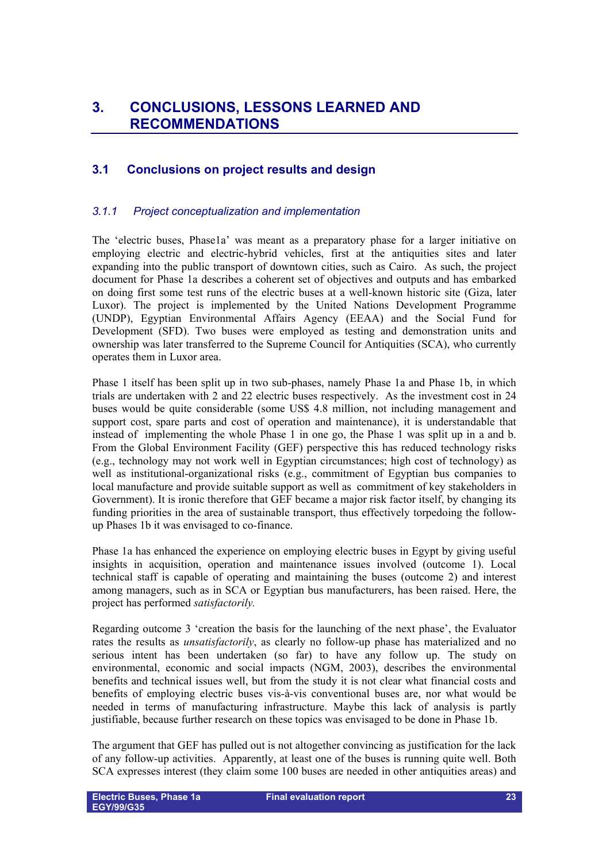# <span id="page-22-0"></span>**3. CONCLUSIONS, LESSONS LEARNED AND RECOMMENDATIONS**

## <span id="page-22-1"></span>**3.1 Conclusions on project results and design**

## <span id="page-22-2"></span>*3.1.1 Project conceptualization and implementation*

The 'electric buses, Phase1a' was meant as a preparatory phase for a larger initiative on employing electric and electric-hybrid vehicles, first at the antiquities sites and later expanding into the public transport of downtown cities, such as Cairo. As such, the project document for Phase 1a describes a coherent set of objectives and outputs and has embarked on doing first some test runs of the electric buses at a well-known historic site (Giza, later Luxor). The project is implemented by the United Nations Development Programme (UNDP), Egyptian Environmental Affairs Agency (EEAA) and the Social Fund for Development (SFD). Two buses were employed as testing and demonstration units and ownership was later transferred to the Supreme Council for Antiquities (SCA), who currently operates them in Luxor area.

Phase 1 itself has been split up in two sub-phases, namely Phase 1a and Phase 1b, in which trials are undertaken with 2 and 22 electric buses respectively. As the investment cost in 24 buses would be quite considerable (some US\$ 4.8 million, not including management and support cost, spare parts and cost of operation and maintenance), it is understandable that instead of implementing the whole Phase 1 in one go, the Phase 1 was split up in a and b. From the Global Environment Facility (GEF) perspective this has reduced technology risks (e.g., technology may not work well in Egyptian circumstances; high cost of technology) as well as institutional-organizational risks (e.g., commitment of Egyptian bus companies to local manufacture and provide suitable support as well as commitment of key stakeholders in Government). It is ironic therefore that GEF became a major risk factor itself, by changing its funding priorities in the area of sustainable transport, thus effectively torpedoing the followup Phases 1b it was envisaged to co-finance.

Phase 1a has enhanced the experience on employing electric buses in Egypt by giving useful insights in acquisition, operation and maintenance issues involved (outcome 1). Local technical staff is capable of operating and maintaining the buses (outcome 2) and interest among managers, such as in SCA or Egyptian bus manufacturers, has been raised. Here, the project has performed *satisfactorily.*

Regarding outcome 3 'creation the basis for the launching of the next phase', the Evaluator rates the results as *unsatisfactorily*, as clearly no follow-up phase has materialized and no serious intent has been undertaken (so far) to have any follow up. The study on environmental, economic and social impacts (NGM, 2003), describes the environmental benefits and technical issues well, but from the study it is not clear what financial costs and benefits of employing electric buses vis-à-vis conventional buses are, nor what would be needed in terms of manufacturing infrastructure. Maybe this lack of analysis is partly justifiable, because further research on these topics was envisaged to be done in Phase 1b.

The argument that GEF has pulled out is not altogether convincing as justification for the lack of any follow-up activities. Apparently, at least one of the buses is running quite well. Both SCA expresses interest (they claim some 100 buses are needed in other antiquities areas) and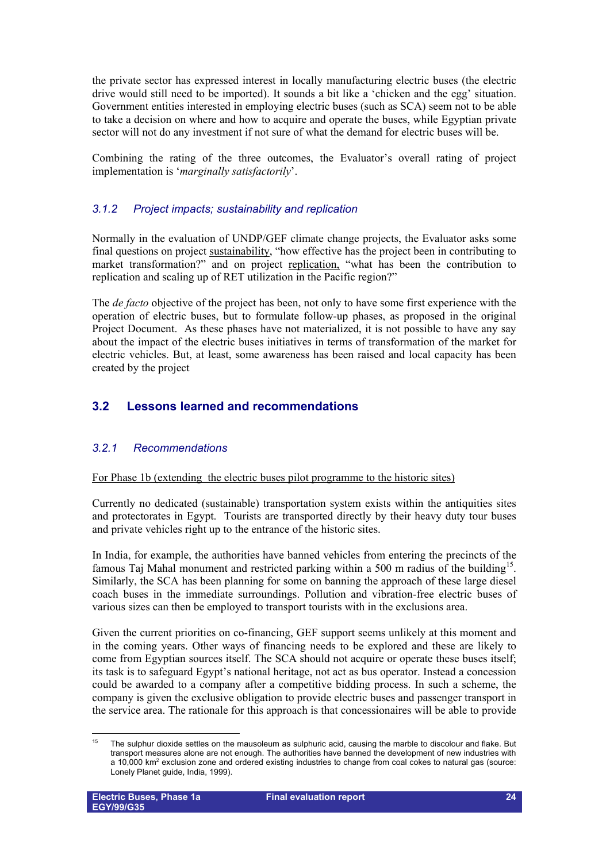the private sector has expressed interest in locally manufacturing electric buses (the electric drive would still need to be imported). It sounds a bit like a 'chicken and the egg' situation. Government entities interested in employing electric buses (such as SCA) seem not to be able to take a decision on where and how to acquire and operate the buses, while Egyptian private sector will not do any investment if not sure of what the demand for electric buses will be.

Combining the rating of the three outcomes, the Evaluator's overall rating of project implementation is '*marginally satisfactorily*'.

## <span id="page-23-0"></span>*3.1.2 Project impacts; sustainability and replication*

Normally in the evaluation of UNDP/GEF climate change projects, the Evaluator asks some final questions on project sustainability, "how effective has the project been in contributing to market transformation?" and on project replication, "what has been the contribution to replication and scaling up of RET utilization in the Pacific region?"

The *de facto* objective of the project has been, not only to have some first experience with the operation of electric buses, but to formulate follow-up phases, as proposed in the original Project Document. As these phases have not materialized, it is not possible to have any say about the impact of the electric buses initiatives in terms of transformation of the market for electric vehicles. But, at least, some awareness has been raised and local capacity has been created by the project

## <span id="page-23-1"></span>**3.2 Lessons learned and recommendations**

## <span id="page-23-2"></span>*3.2.1 Recommendations*

### For Phase 1b (extending the electric buses pilot programme to the historic sites)

Currently no dedicated (sustainable) transportation system exists within the antiquities sites and protectorates in Egypt. Tourists are transported directly by their heavy duty tour buses and private vehicles right up to the entrance of the historic sites.

In India, for example, the authorities have banned vehicles from entering the precincts of the famous Taj Mahal monument and restricted parking within a 500 m radius of the building<sup>[15](#page-23-3)</sup>. Similarly, the SCA has been planning for some on banning the approach of these large diesel coach buses in the immediate surroundings. Pollution and vibration-free electric buses of various sizes can then be employed to transport tourists with in the exclusions area.

Given the current priorities on co-financing, GEF support seems unlikely at this moment and in the coming years. Other ways of financing needs to be explored and these are likely to come from Egyptian sources itself. The SCA should not acquire or operate these buses itself; its task is to safeguard Egypt's national heritage, not act as bus operator. Instead a concession could be awarded to a company after a competitive bidding process. In such a scheme, the company is given the exclusive obligation to provide electric buses and passenger transport in the service area. The rationale for this approach is that concessionaires will be able to provide

<span id="page-23-3"></span><sup>15</sup> The sulphur dioxide settles on the mausoleum as sulphuric acid, causing the marble to discolour and flake. But transport measures alone are not enough. The authorities have banned the development of new industries with a 10,000 km2 exclusion zone and ordered existing industries to change from coal cokes to natural gas (source: Lonely Planet guide, India, 1999).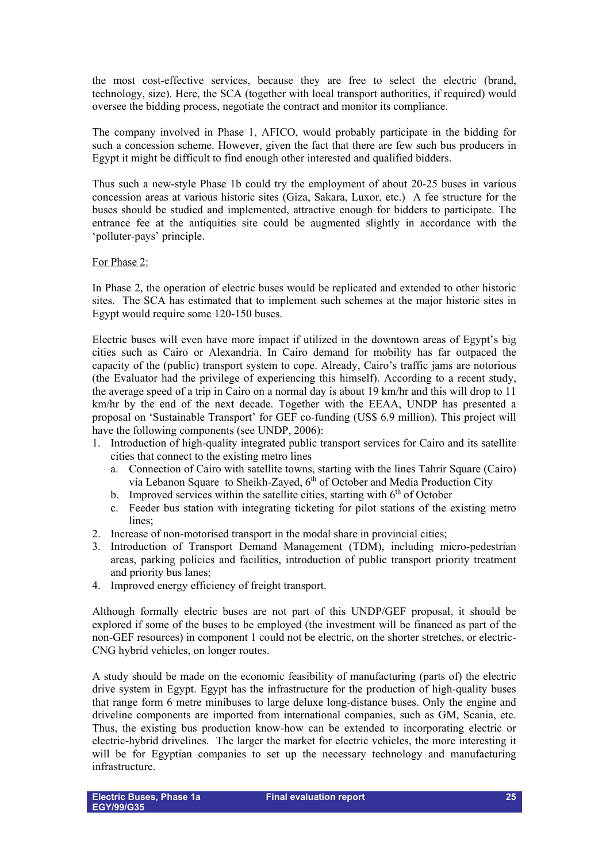the most cost-effective services, because they are free to select the electric (brand, technology, size). Here, the SCA (together with local transport authorities, if required) would oversee the bidding process, negotiate the contract and monitor its compliance.

The company involved in Phase 1, AFICO, would probably participate in the bidding for such a concession scheme. However, given the fact that there are few such bus producers in Egypt it might be difficult to find enough other interested and qualified bidders.

Thus such a new-style Phase 1b could try the employment of about 20-25 buses in various concession areas at various historic sites (Giza, Sakara, Luxor, etc.) A fee structure for the buses should be studied and implemented, attractive enough for bidders to participate. The entrance fee at the antiquities site could be augmented slightly in accordance with the 'polluter-pays' principle.

#### For Phase 2:

In Phase 2, the operation of electric buses would be replicated and extended to other historic sites. The SCA has estimated that to implement such schemes at the major historic sites in Egypt would require some 120-150 buses.

Electric buses will even have more impact if utilized in the downtown areas of Egypt's big cities such as Cairo or Alexandria. In Cairo demand for mobility has far outpaced the capacity of the (public) transport system to cope. Already, Cairo's traffic jams are notorious (the Evaluator had the privilege of experiencing this himself). According to a recent study, the average speed of a trip in Cairo on a normal day is about 19 km/hr and this will drop to 11 km/hr by the end of the next decade. Together with the EEAA, UNDP has presented a proposal on 'Sustainable Transport' for GEF co-funding (US\$ 6.9 million). This project will have the following components (see UNDP, 2006):

- 1. Introduction of high-quality integrated public transport services for Cairo and its satellite cities that connect to the existing metro lines
	- a. Connection of Cairo with satellite towns, starting with the lines Tahrir Square (Cairo) via Lebanon Square to Sheikh-Zayed, 6<sup>th</sup> of October and Media Production City
	- b. Improved services within the satellite cities, starting with  $6<sup>th</sup>$  of October
	- c. Feeder bus station with integrating ticketing for pilot stations of the existing metro lines;
- 2. Increase of non-motorised transport in the modal share in provincial cities;
- 3. Introduction of Transport Demand Management (TDM), including micro-pedestrian areas, parking policies and facilities, introduction of public transport priority treatment and priority bus lanes;
- 4. Improved energy efficiency of freight transport.

Although formally electric buses are not part of this UNDP/GEF proposal, it should be explored if some of the buses to be employed (the investment will be financed as part of the non-GEF resources) in component 1 could not be electric, on the shorter stretches, or electric-CNG hybrid vehicles, on longer routes.

A study should be made on the economic feasibility of manufacturing (parts of) the electric drive system in Egypt. Egypt has the infrastructure for the production of high-quality buses that range form 6 metre minibuses to large deluxe long-distance buses. Only the engine and driveline components are imported from international companies, such as GM, Scania, etc. Thus, the existing bus production know-how can be extended to incorporating electric or electric-hybrid drivelines. The larger the market for electric vehicles, the more interesting it will be for Egyptian companies to set up the necessary technology and manufacturing infrastructure.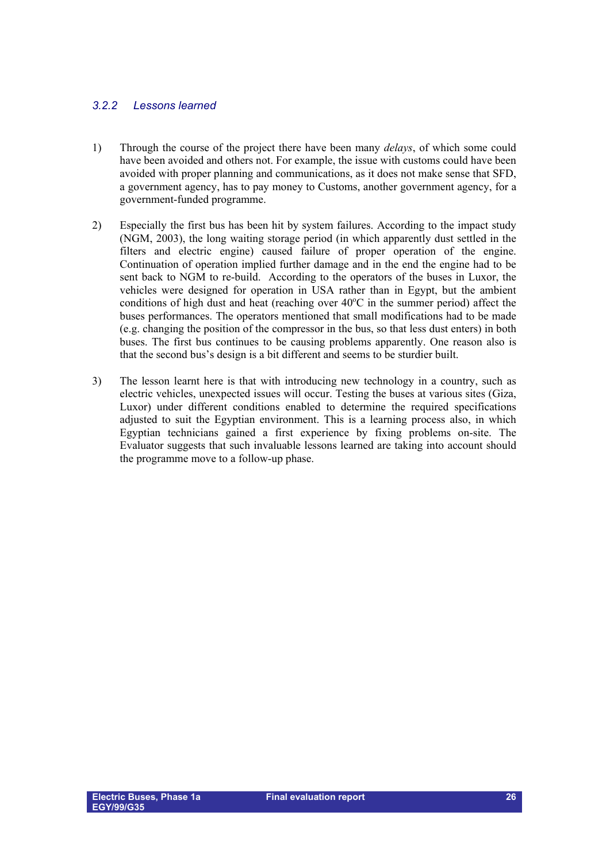## <span id="page-25-0"></span>*3.2.2 Lessons learned*

- 1) Through the course of the project there have been many *delays*, of which some could have been avoided and others not. For example, the issue with customs could have been avoided with proper planning and communications, as it does not make sense that SFD, a government agency, has to pay money to Customs, another government agency, for a government-funded programme.
- 2) Especially the first bus has been hit by system failures. According to the impact study (NGM, 2003), the long waiting storage period (in which apparently dust settled in the filters and electric engine) caused failure of proper operation of the engine. Continuation of operation implied further damage and in the end the engine had to be sent back to NGM to re-build. According to the operators of the buses in Luxor, the vehicles were designed for operation in USA rather than in Egypt, but the ambient conditions of high dust and heat (reaching over  $40^{\circ}$ C in the summer period) affect the buses performances. The operators mentioned that small modifications had to be made (e.g. changing the position of the compressor in the bus, so that less dust enters) in both buses. The first bus continues to be causing problems apparently. One reason also is that the second bus's design is a bit different and seems to be sturdier built.
- 3) The lesson learnt here is that with introducing new technology in a country, such as electric vehicles, unexpected issues will occur. Testing the buses at various sites (Giza, Luxor) under different conditions enabled to determine the required specifications adjusted to suit the Egyptian environment. This is a learning process also, in which Egyptian technicians gained a first experience by fixing problems on-site. The Evaluator suggests that such invaluable lessons learned are taking into account should the programme move to a follow-up phase.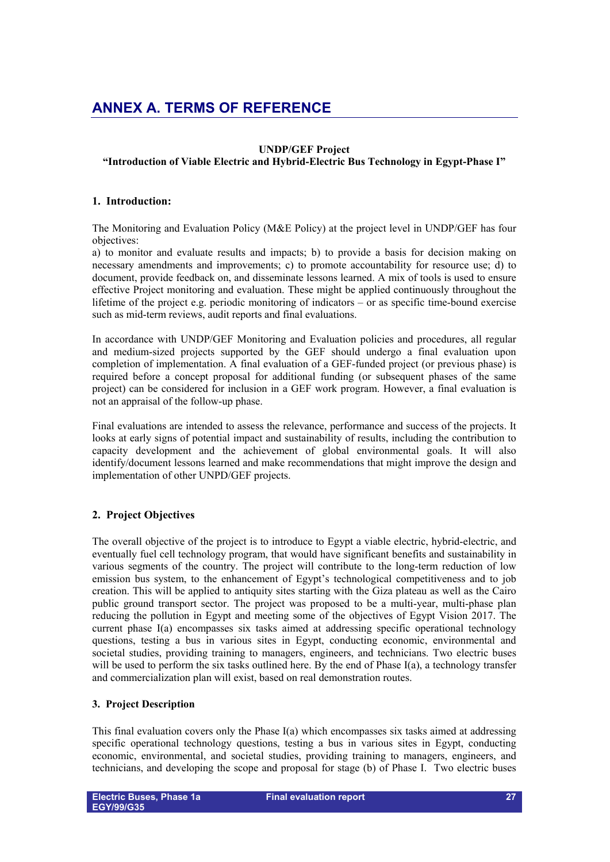# <span id="page-26-0"></span>**ANNEX A. TERMS OF REFERENCE**

### **UNDP/GEF Project**

## **"Introduction of Viable Electric and Hybrid-Electric Bus Technology in Egypt-Phase I"**

### **1. Introduction:**

The Monitoring and Evaluation Policy (M&E Policy) at the project level in UNDP/GEF has four objectives:

a) to monitor and evaluate results and impacts; b) to provide a basis for decision making on necessary amendments and improvements; c) to promote accountability for resource use; d) to document, provide feedback on, and disseminate lessons learned. A mix of tools is used to ensure effective Project monitoring and evaluation. These might be applied continuously throughout the lifetime of the project e.g. periodic monitoring of indicators – or as specific time-bound exercise such as mid-term reviews, audit reports and final evaluations.

In accordance with UNDP/GEF Monitoring and Evaluation policies and procedures, all regular and medium-sized projects supported by the GEF should undergo a final evaluation upon completion of implementation. A final evaluation of a GEF-funded project (or previous phase) is required before a concept proposal for additional funding (or subsequent phases of the same project) can be considered for inclusion in a GEF work program. However, a final evaluation is not an appraisal of the follow-up phase.

Final evaluations are intended to assess the relevance, performance and success of the projects. It looks at early signs of potential impact and sustainability of results, including the contribution to capacity development and the achievement of global environmental goals. It will also identify/document lessons learned and make recommendations that might improve the design and implementation of other UNPD/GEF projects.

## **2. Project Objectives**

The overall objective of the project is to introduce to Egypt a viable electric, hybrid-electric, and eventually fuel cell technology program, that would have significant benefits and sustainability in various segments of the country. The project will contribute to the long-term reduction of low emission bus system, to the enhancement of Egypt's technological competitiveness and to job creation. This will be applied to antiquity sites starting with the Giza plateau as well as the Cairo public ground transport sector. The project was proposed to be a multi-year, multi-phase plan reducing the pollution in Egypt and meeting some of the objectives of Egypt Vision 2017. The current phase I(a) encompasses six tasks aimed at addressing specific operational technology questions, testing a bus in various sites in Egypt, conducting economic, environmental and societal studies, providing training to managers, engineers, and technicians. Two electric buses will be used to perform the six tasks outlined here. By the end of Phase I(a), a technology transfer and commercialization plan will exist, based on real demonstration routes.

## **3. Project Description**

This final evaluation covers only the Phase I(a) which encompasses six tasks aimed at addressing specific operational technology questions, testing a bus in various sites in Egypt, conducting economic, environmental, and societal studies, providing training to managers, engineers, and technicians, and developing the scope and proposal for stage (b) of Phase I. Two electric buses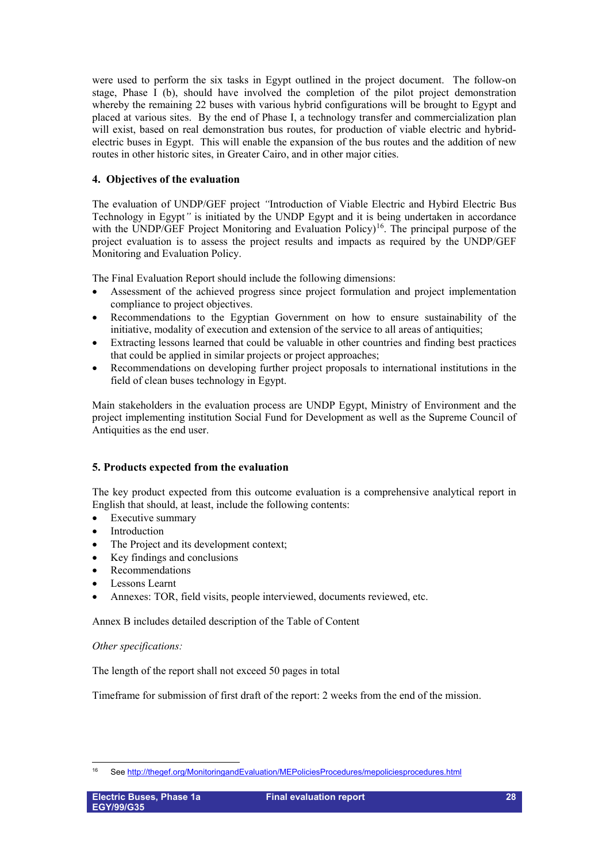were used to perform the six tasks in Egypt outlined in the project document. The follow-on stage, Phase I (b), should have involved the completion of the pilot project demonstration whereby the remaining 22 buses with various hybrid configurations will be brought to Egypt and placed at various sites. By the end of Phase I, a technology transfer and commercialization plan will exist, based on real demonstration bus routes, for production of viable electric and hybridelectric buses in Egypt. This will enable the expansion of the bus routes and the addition of new routes in other historic sites, in Greater Cairo, and in other major cities.

## **4. Objectives of the evaluation**

The evaluation of UNDP/GEF project *"*Introduction of Viable Electric and Hybird Electric Bus Technology in Egypt*"* is initiated by the UNDP Egypt and it is being undertaken in accordance with the UNDP/GEF Project Monitoring and Evaluation Policy)<sup>16</sup>. The principal purpose of the project evaluation is to assess the project results and impacts as required by the UNDP/GEF Monitoring and Evaluation Policy.

The Final Evaluation Report should include the following dimensions:

- Assessment of the achieved progress since project formulation and project implementation compliance to project objectives.
- Recommendations to the Egyptian Government on how to ensure sustainability of the initiative, modality of execution and extension of the service to all areas of antiquities;
- Extracting lessons learned that could be valuable in other countries and finding best practices that could be applied in similar projects or project approaches;
- Recommendations on developing further project proposals to international institutions in the field of clean buses technology in Egypt.

Main stakeholders in the evaluation process are UNDP Egypt, Ministry of Environment and the project implementing institution Social Fund for Development as well as the Supreme Council of Antiquities as the end user.

## **5. Products expected from the evaluation**

The key product expected from this outcome evaluation is a comprehensive analytical report in English that should, at least, include the following contents:

- Executive summary
- **Introduction**
- The Project and its development context;
- Key findings and conclusions
- Recommendations
- Lessons Learnt
- Annexes: TOR, field visits, people interviewed, documents reviewed, etc.

Annex B includes detailed description of the Table of Content

## *Other specifications:*

The length of the report shall not exceed 50 pages in total

Timeframe for submission of first draft of the report: 2 weeks from the end of the mission.

<span id="page-27-0"></span>Se[e http://thegef.org/MonitoringandEvaluation/MEPoliciesProcedures/mepoliciesprocedures.html](http://thegef.org/MonitoringandEvaluation/MEPoliciesProcedures/mepoliciesprocedures.html)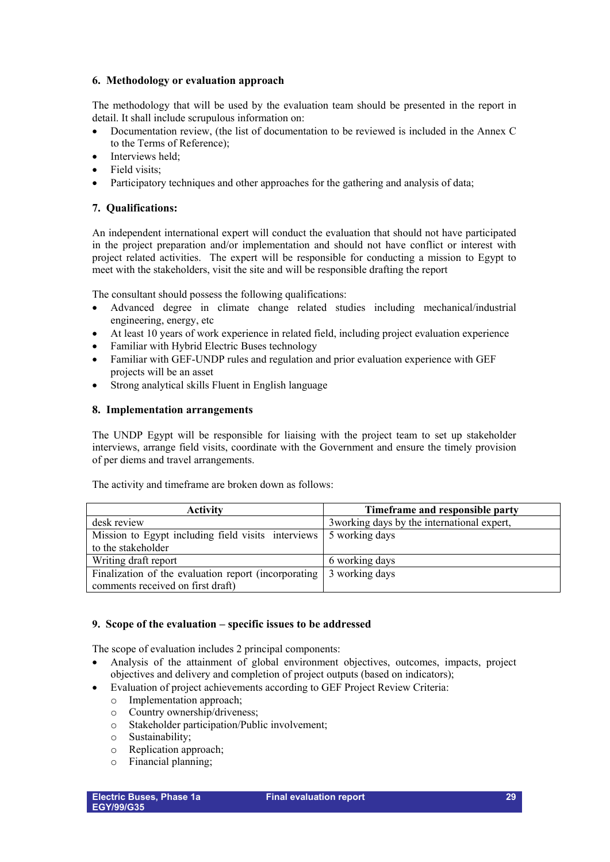## **6. Methodology or evaluation approach**

The methodology that will be used by the evaluation team should be presented in the report in detail. It shall include scrupulous information on:

- Documentation review, (the list of documentation to be reviewed is included in the Annex C to the Terms of Reference);
- Interviews held:
- Field visits:
- Participatory techniques and other approaches for the gathering and analysis of data;

## **7. Qualifications:**

An independent international expert will conduct the evaluation that should not have participated in the project preparation and/or implementation and should not have conflict or interest with project related activities. The expert will be responsible for conducting a mission to Egypt to meet with the stakeholders, visit the site and will be responsible drafting the report

The consultant should possess the following qualifications:

- Advanced degree in climate change related studies including mechanical/industrial engineering, energy, etc
- At least 10 years of work experience in related field, including project evaluation experience
- Familiar with Hybrid Electric Buses technology
- Familiar with GEF-UNDP rules and regulation and prior evaluation experience with GEF projects will be an asset
- Strong analytical skills Fluent in English language

## **8. Implementation arrangements**

The UNDP Egypt will be responsible for liaising with the project team to set up stakeholder interviews, arrange field visits, coordinate with the Government and ensure the timely provision of per diems and travel arrangements.

The activity and timeframe are broken down as follows:

| <b>Activity</b>                                                   | Timeframe and responsible party             |
|-------------------------------------------------------------------|---------------------------------------------|
| desk review                                                       | 3 working days by the international expert, |
| Mission to Egypt including field visits interviews 5 working days |                                             |
| to the stakeholder                                                |                                             |
| Writing draft report                                              | 6 working days                              |
| Finalization of the evaluation report (incorporating              | 3 working days                              |
| comments received on first draft)                                 |                                             |

## **9. Scope of the evaluation – specific issues to be addressed**

The scope of evaluation includes 2 principal components:

- Analysis of the attainment of global environment objectives, outcomes, impacts, project objectives and delivery and completion of project outputs (based on indicators);
- Evaluation of project achievements according to GEF Project Review Criteria:
	- o Implementation approach;
	- Country ownership/driveness:
	- o Stakeholder participation/Public involvement;
	- o Sustainability;
	- o Replication approach;
	- o Financial planning;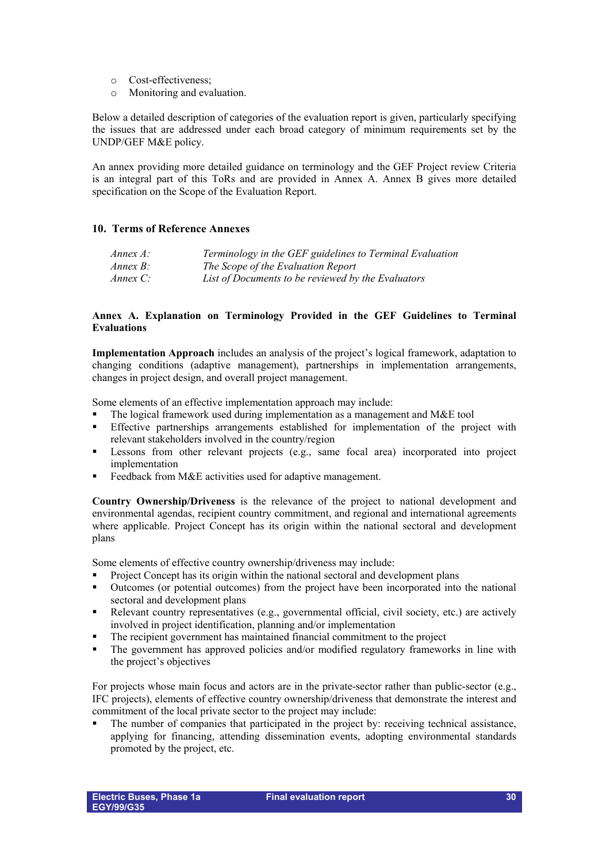- o Cost-effectiveness;
- o Monitoring and evaluation.

Below a detailed description of categories of the evaluation report is given, particularly specifying the issues that are addressed under each broad category of minimum requirements set by the UNDP/GEF M&E policy.

An annex providing more detailed guidance on terminology and the GEF Project review Criteria is an integral part of this ToRs and are provided in Annex A. Annex B gives more detailed specification on the Scope of the Evaluation Report.

#### **10. Terms of Reference Annexes**

| Annex A: | Terminology in the GEF guidelines to Terminal Evaluation |
|----------|----------------------------------------------------------|
| Annex B: | The Scope of the Evaluation Report                       |
| Annex C: | List of Documents to be reviewed by the Evaluators       |

#### **Annex A. Explanation on Terminology Provided in the GEF Guidelines to Terminal Evaluations**

**Implementation Approach** includes an analysis of the project's logical framework, adaptation to changing conditions (adaptive management), partnerships in implementation arrangements, changes in project design, and overall project management.

Some elements of an effective implementation approach may include:

- The logical framework used during implementation as a management and M&E tool
- **Effective partnerships arrangements established for implementation of the project with** relevant stakeholders involved in the country/region
- Lessons from other relevant projects (e.g., same focal area) incorporated into project implementation
- Feedback from M&E activities used for adaptive management.

**Country Ownership/Driveness** is the relevance of the project to national development and environmental agendas, recipient country commitment, and regional and international agreements where applicable. Project Concept has its origin within the national sectoral and development plans

Some elements of effective country ownership/driveness may include:

- Project Concept has its origin within the national sectoral and development plans<br>
Outcomes (or notential outcomes) from the project have been incorporated into
- Outcomes (or potential outcomes) from the project have been incorporated into the national sectoral and development plans
- Relevant country representatives (e.g., governmental official, civil society, etc.) are actively involved in project identification, planning and/or implementation
- The recipient government has maintained financial commitment to the project
- The government has approved policies and/or modified regulatory frameworks in line with the project's objectives

For projects whose main focus and actors are in the private-sector rather than public-sector (e.g., IFC projects), elements of effective country ownership/driveness that demonstrate the interest and commitment of the local private sector to the project may include:

 The number of companies that participated in the project by: receiving technical assistance, applying for financing, attending dissemination events, adopting environmental standards promoted by the project, etc.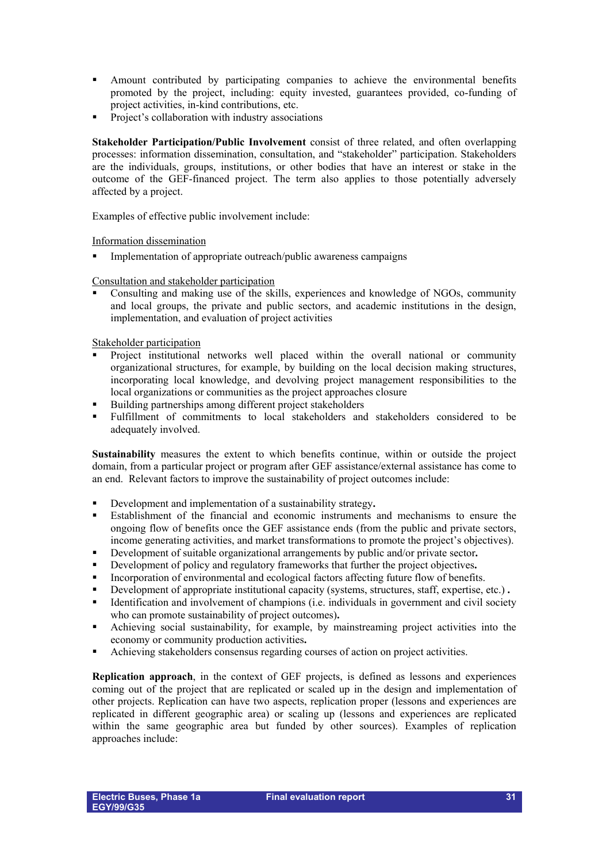- Amount contributed by participating companies to achieve the environmental benefits promoted by the project, including: equity invested, guarantees provided, co-funding of project activities, in-kind contributions, etc.
- **Project's collaboration with industry associations**

**Stakeholder Participation/Public Involvement** consist of three related, and often overlapping processes: information dissemination, consultation, and "stakeholder" participation. Stakeholders are the individuals, groups, institutions, or other bodies that have an interest or stake in the outcome of the GEF-financed project. The term also applies to those potentially adversely affected by a project.

Examples of effective public involvement include:

Information dissemination

Implementation of appropriate outreach/public awareness campaigns

Consultation and stakeholder participation

 Consulting and making use of the skills, experiences and knowledge of NGOs, community and local groups, the private and public sectors, and academic institutions in the design, implementation, and evaluation of project activities

Stakeholder participation

- Project institutional networks well placed within the overall national or community organizational structures, for example, by building on the local decision making structures, incorporating local knowledge, and devolving project management responsibilities to the local organizations or communities as the project approaches closure
- Building partnerships among different project stakeholders
- Fulfillment of commitments to local stakeholders and stakeholders considered to be adequately involved.

**Sustainability** measures the extent to which benefits continue, within or outside the project domain, from a particular project or program after GEF assistance/external assistance has come to an end. Relevant factors to improve the sustainability of project outcomes include:

- Development and implementation of a sustainability strategy**.**
- Establishment of the financial and economic instruments and mechanisms to ensure the ongoing flow of benefits once the GEF assistance ends (from the public and private sectors, income generating activities, and market transformations to promote the project's objectives).
- Development of suitable organizational arrangements by public and/or private sector**.**
- Development of policy and regulatory frameworks that further the project objectives**.**
- Incorporation of environmental and ecological factors affecting future flow of benefits.
- Development of appropriate institutional capacity (systems, structures, staff, expertise, etc.) **.**
- $\blacksquare$  Identification and involvement of champions (i.e. individuals in government and civil society who can promote sustainability of project outcomes)**.**
- Achieving social sustainability, for example, by mainstreaming project activities into the economy or community production activities**.**
- Achieving stakeholders consensus regarding courses of action on project activities.

**Replication approach**, in the context of GEF projects, is defined as lessons and experiences coming out of the project that are replicated or scaled up in the design and implementation of other projects. Replication can have two aspects, replication proper (lessons and experiences are replicated in different geographic area) or scaling up (lessons and experiences are replicated within the same geographic area but funded by other sources). Examples of replication approaches include: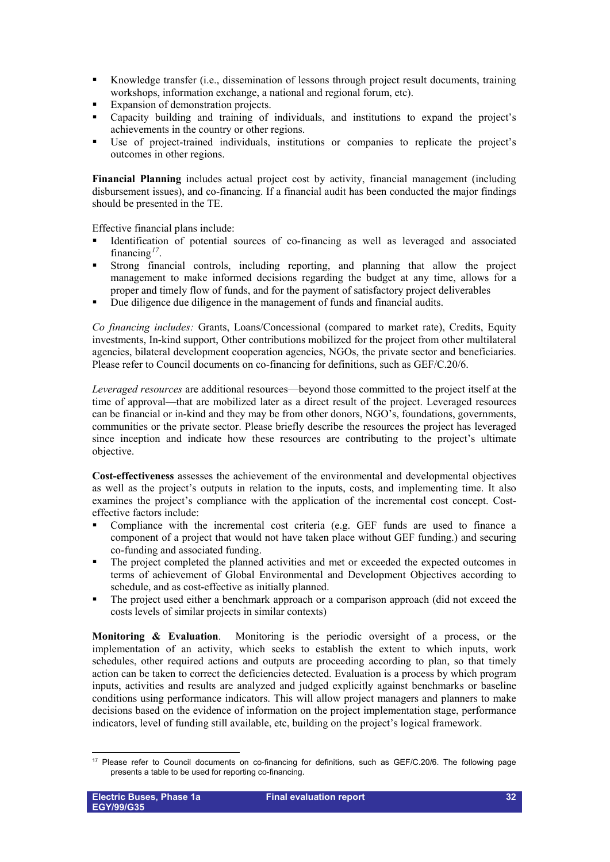- Knowledge transfer (i.e., dissemination of lessons through project result documents, training workshops, information exchange, a national and regional forum, etc).
- Expansion of demonstration projects.
- Capacity building and training of individuals, and institutions to expand the project's achievements in the country or other regions.
- Use of project-trained individuals, institutions or companies to replicate the project's outcomes in other regions.

**Financial Planning** includes actual project cost by activity, financial management (including disbursement issues), and co-financing. If a financial audit has been conducted the major findings should be presented in the TE.

Effective financial plans include:

- Identification of potential sources of co-financing as well as leveraged and associated financing*[17](#page-31-0)*.
- Strong financial controls, including reporting, and planning that allow the project management to make informed decisions regarding the budget at any time, allows for a proper and timely flow of funds, and for the payment of satisfactory project deliverables
- Due diligence due diligence in the management of funds and financial audits.

*Co financing includes:* Grants, Loans/Concessional (compared to market rate), Credits, Equity investments, In-kind support, Other contributions mobilized for the project from other multilateral agencies, bilateral development cooperation agencies, NGOs, the private sector and beneficiaries. Please refer to Council documents on co-financing for definitions, such as GEF/C.20/6.

*Leveraged resources* are additional resources—beyond those committed to the project itself at the time of approval—that are mobilized later as a direct result of the project. Leveraged resources can be financial or in-kind and they may be from other donors, NGO's, foundations, governments, communities or the private sector. Please briefly describe the resources the project has leveraged since inception and indicate how these resources are contributing to the project's ultimate objective.

**Cost-effectiveness** assesses the achievement of the environmental and developmental objectives as well as the project's outputs in relation to the inputs, costs, and implementing time. It also examines the project's compliance with the application of the incremental cost concept. Costeffective factors include:

- Compliance with the incremental cost criteria (e.g. GEF funds are used to finance a component of a project that would not have taken place without GEF funding.) and securing co-funding and associated funding.
- The project completed the planned activities and met or exceeded the expected outcomes in terms of achievement of Global Environmental and Development Objectives according to schedule, and as cost-effective as initially planned.
- The project used either a benchmark approach or a comparison approach (did not exceed the costs levels of similar projects in similar contexts)

**Monitoring & Evaluation**. Monitoring is the periodic oversight of a process, or the implementation of an activity, which seeks to establish the extent to which inputs, work schedules, other required actions and outputs are proceeding according to plan, so that timely action can be taken to correct the deficiencies detected. Evaluation is a process by which program inputs, activities and results are analyzed and judged explicitly against benchmarks or baseline conditions using performance indicators. This will allow project managers and planners to make decisions based on the evidence of information on the project implementation stage, performance indicators, level of funding still available, etc, building on the project's logical framework.

<span id="page-31-0"></span><sup>&</sup>lt;u>.</u>  $17$  Please refer to Council documents on co-financing for definitions, such as GEF/C.20/6. The following page presents a table to be used for reporting co-financing.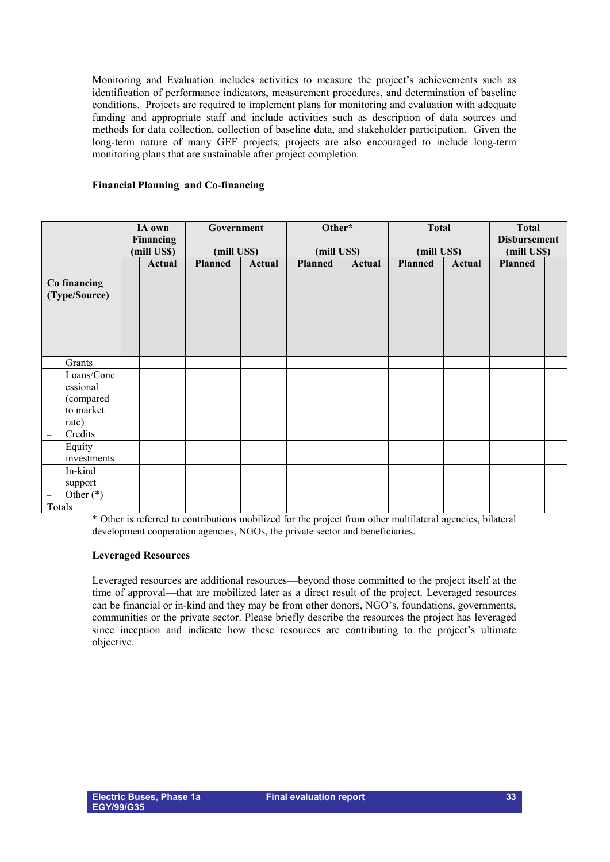Monitoring and Evaluation includes activities to measure the project's achievements such as identification of performance indicators, measurement procedures, and determination of baseline conditions. Projects are required to implement plans for monitoring and evaluation with adequate funding and appropriate staff and include activities such as description of data sources and methods for data collection, collection of baseline data, and stakeholder participation. Given the long-term nature of many GEF projects, projects are also encouraged to include long-term monitoring plans that are sustainable after project completion.

#### **Financial Planning and Co-financing**

|                                                                                   | IA own<br><b>Financing</b><br>(mill US\$) |        | Government<br>(mill US\$) |        | Other*<br>(mill US\$) |        | <b>Total</b><br>(mill US\$) |               | <b>Total</b><br><b>Disbursement</b><br>(mill US\$) |  |
|-----------------------------------------------------------------------------------|-------------------------------------------|--------|---------------------------|--------|-----------------------|--------|-----------------------------|---------------|----------------------------------------------------|--|
| Co financing<br>(Type/Source)                                                     |                                           | Actual | <b>Planned</b>            | Actual | <b>Planned</b>        | Actual | <b>Planned</b>              | <b>Actual</b> | <b>Planned</b>                                     |  |
| Grants<br>$\overline{\phantom{m}}$                                                |                                           |        |                           |        |                       |        |                             |               |                                                    |  |
| Loans/Conc<br>$\equiv$<br>essional<br>(compared<br>to market<br>rate)             |                                           |        |                           |        |                       |        |                             |               |                                                    |  |
| Credits<br>$\overline{\phantom{m}}$                                               |                                           |        |                           |        |                       |        |                             |               |                                                    |  |
| Equity<br>$\qquad \qquad -$<br>investments<br>In-kind<br>$\overline{\phantom{m}}$ |                                           |        |                           |        |                       |        |                             |               |                                                    |  |
| support                                                                           |                                           |        |                           |        |                       |        |                             |               |                                                    |  |
| Other $(*)$<br>$\overline{\phantom{m}}$                                           |                                           |        |                           |        |                       |        |                             |               |                                                    |  |
| Totals                                                                            |                                           |        |                           |        |                       |        |                             |               |                                                    |  |

\* Other is referred to contributions mobilized for the project from other multilateral agencies, bilateral development cooperation agencies, NGOs, the private sector and beneficiaries.

#### **Leveraged Resources**

Leveraged resources are additional resources—beyond those committed to the project itself at the time of approval—that are mobilized later as a direct result of the project. Leveraged resources can be financial or in-kind and they may be from other donors, NGO's, foundations, governments, communities or the private sector. Please briefly describe the resources the project has leveraged since inception and indicate how these resources are contributing to the project's ultimate objective.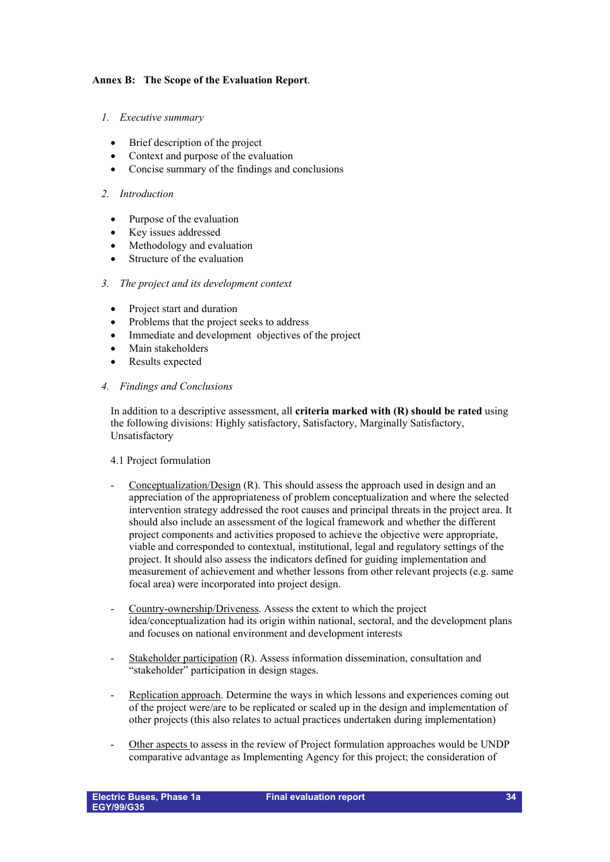### **Annex B: The Scope of the Evaluation Report**.

#### *1. Executive summary*

- Brief description of the project
- Context and purpose of the evaluation
- Concise summary of the findings and conclusions

#### *2. Introduction*

- Purpose of the evaluation
- Key issues addressed
- Methodology and evaluation
- Structure of the evaluation

#### *3. The project and its development context*

- Project start and duration
- Problems that the project seeks to address
- Immediate and development objectives of the project
- Main stakeholders
- Results expected

#### *4. Findings and Conclusions*

In addition to a descriptive assessment, all **criteria marked with (R) should be rated** using the following divisions: Highly satisfactory, Satisfactory, Marginally Satisfactory, Unsatisfactory

#### 4.1 Project formulation

- Conceptualization/Design (R). This should assess the approach used in design and an appreciation of the appropriateness of problem conceptualization and where the selected intervention strategy addressed the root causes and principal threats in the project area. It should also include an assessment of the logical framework and whether the different project components and activities proposed to achieve the objective were appropriate, viable and corresponded to contextual, institutional, legal and regulatory settings of the project. It should also assess the indicators defined for guiding implementation and measurement of achievement and whether lessons from other relevant projects (e.g. same focal area) were incorporated into project design.
- Country-ownership/Driveness. Assess the extent to which the project idea/conceptualization had its origin within national, sectoral, and the development plans and focuses on national environment and development interests
- Stakeholder participation (R). Assess information dissemination, consultation and "stakeholder" participation in design stages.
- Replication approach. Determine the ways in which lessons and experiences coming out of the project were/are to be replicated or scaled up in the design and implementation of other projects (this also relates to actual practices undertaken during implementation)
- Other aspects to assess in the review of Project formulation approaches would be UNDP comparative advantage as Implementing Agency for this project; the consideration of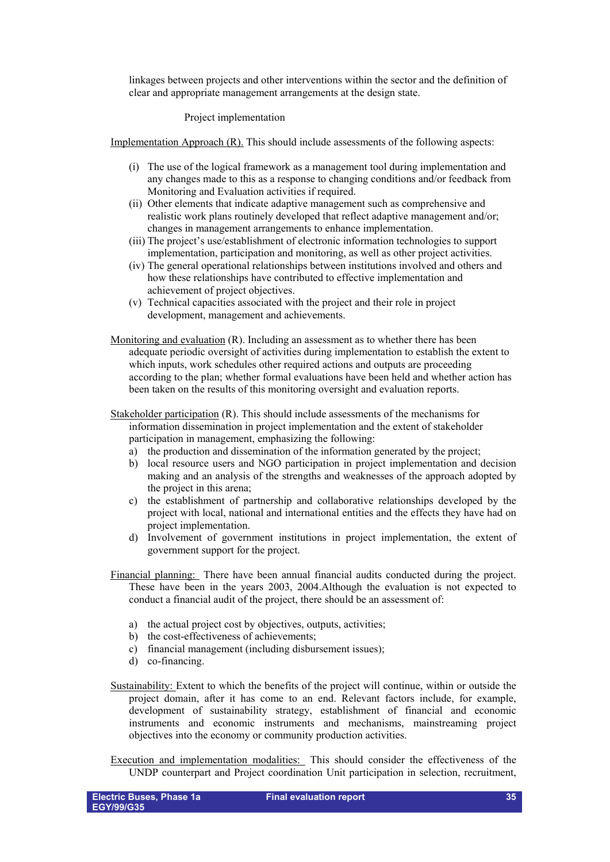linkages between projects and other interventions within the sector and the definition of clear and appropriate management arrangements at the design state.

#### Project implementation

Implementation Approach (R). This should include assessments of the following aspects:

- (i) The use of the logical framework as a management tool during implementation and any changes made to this as a response to changing conditions and/or feedback from Monitoring and Evaluation activities if required.
- (ii) Other elements that indicate adaptive management such as comprehensive and realistic work plans routinely developed that reflect adaptive management and/or; changes in management arrangements to enhance implementation.
- (iii) The project's use/establishment of electronic information technologies to support implementation, participation and monitoring, as well as other project activities.
- (iv) The general operational relationships between institutions involved and others and how these relationships have contributed to effective implementation and achievement of project objectives.
- (v) Technical capacities associated with the project and their role in project development, management and achievements.
- Monitoring and evaluation (R). Including an assessment as to whether there has been adequate periodic oversight of activities during implementation to establish the extent to which inputs, work schedules other required actions and outputs are proceeding according to the plan; whether formal evaluations have been held and whether action has been taken on the results of this monitoring oversight and evaluation reports.
- Stakeholder participation (R). This should include assessments of the mechanisms for information dissemination in project implementation and the extent of stakeholder participation in management, emphasizing the following:
	- a) the production and dissemination of the information generated by the project;
	- b) local resource users and NGO participation in project implementation and decision making and an analysis of the strengths and weaknesses of the approach adopted by the project in this arena;
	- c) the establishment of partnership and collaborative relationships developed by the project with local, national and international entities and the effects they have had on project implementation.
	- d) Involvement of government institutions in project implementation, the extent of government support for the project.
- Financial planning: There have been annual financial audits conducted during the project. These have been in the years 2003, 2004.Although the evaluation is not expected to conduct a financial audit of the project, there should be an assessment of:
	- a) the actual project cost by objectives, outputs, activities;
	- b) the cost-effectiveness of achievements;
	- c) financial management (including disbursement issues);
	- d) co-financing.
- Sustainability: Extent to which the benefits of the project will continue, within or outside the project domain, after it has come to an end. Relevant factors include, for example, development of sustainability strategy, establishment of financial and economic instruments and economic instruments and mechanisms, mainstreaming project objectives into the economy or community production activities.
- Execution and implementation modalities: This should consider the effectiveness of the UNDP counterpart and Project coordination Unit participation in selection, recruitment,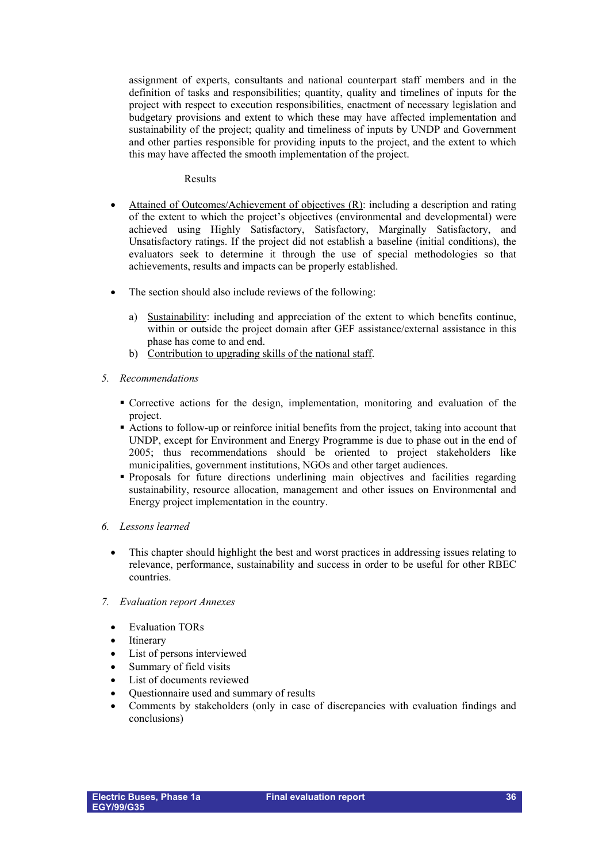assignment of experts, consultants and national counterpart staff members and in the definition of tasks and responsibilities; quantity, quality and timelines of inputs for the project with respect to execution responsibilities, enactment of necessary legislation and budgetary provisions and extent to which these may have affected implementation and sustainability of the project; quality and timeliness of inputs by UNDP and Government and other parties responsible for providing inputs to the project, and the extent to which this may have affected the smooth implementation of the project.

#### Results

- Attained of Outcomes/Achievement of objectives (R): including a description and rating of the extent to which the project's objectives (environmental and developmental) were achieved using Highly Satisfactory, Satisfactory, Marginally Satisfactory, and Unsatisfactory ratings. If the project did not establish a baseline (initial conditions), the evaluators seek to determine it through the use of special methodologies so that achievements, results and impacts can be properly established.
- The section should also include reviews of the following:
	- a) Sustainability: including and appreciation of the extent to which benefits continue, within or outside the project domain after GEF assistance/external assistance in this phase has come to and end.
	- b) Contribution to upgrading skills of the national staff.
- *5. Recommendations*
	- Corrective actions for the design, implementation, monitoring and evaluation of the project.
	- Actions to follow-up or reinforce initial benefits from the project, taking into account that UNDP, except for Environment and Energy Programme is due to phase out in the end of 2005; thus recommendations should be oriented to project stakeholders like municipalities, government institutions, NGOs and other target audiences.
	- Proposals for future directions underlining main objectives and facilities regarding sustainability, resource allocation, management and other issues on Environmental and Energy project implementation in the country.
- *6. Lessons learned*
	- This chapter should highlight the best and worst practices in addressing issues relating to relevance, performance, sustainability and success in order to be useful for other RBEC countries.
- *7. Evaluation report Annexes*
	- **Evaluation TORs**
	- **Itinerary**
	- List of persons interviewed
	- Summary of field visits
	- List of documents reviewed
	- Questionnaire used and summary of results
	- Comments by stakeholders (only in case of discrepancies with evaluation findings and conclusions)